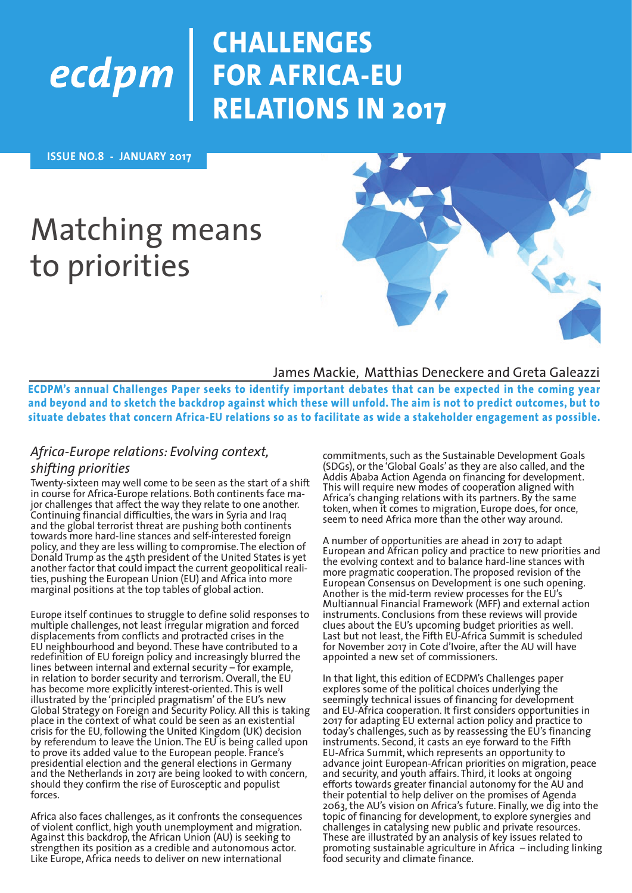### **CHALLENGES FOR AFRICA-EU RELATIONS IN 2017**

 **ISSUE NO.8 - JANUARY 2017**

## Matching means to priorities



#### James Mackie, Matthias Deneckere and Greta Galeazzi

**ECDPM's annual Challenges Paper seeks to identify important debates that can be expected in the coming year and beyond and to sketch the backdrop against which these will unfold. The aim is not to predict outcomes, but to situate debates that concern Africa-EU relations so as to facilitate as wide a stakeholder engagement as possible.** 

#### *Africa-Europe relations: Evolving context,*

#### *shifting priorities*

Twenty-sixteen may well come to be seen as the start of a shift in course for Africa-Europe relations. Both continents face major challenges that affect the way they relate to one another. Continuing financial difficulties, the wars in Syria and Iraq and the global terrorist threat are pushing both continents towards more hard-line stances and self-interested foreign policy, and they are less willing to compromise. The election of Donald Trump as the 45th president of the United States is yet another factor that could impact the current geopolitical realities, pushing the European Union (EU) and Africa into more marginal positions at the top tables of global action.

Europe itself continues to struggle to define solid responses to multiple challenges, not least irregular migration and forced displacements from conflicts and protracted crises in the EU neighbourhood and beyond. These have contributed to a redefinition of EU foreign policy and increasingly blurred the lines between internal and external security – for example, in relation to border security and terrorism. Overall, the EU has become more explicitly interest-oriented. This is well illustrated by the 'principled pragmatism' of the EU's new Global Strategy on Foreign and Security Policy. All this is taking place in the context of what could be seen as an existential crisis for the EU, following the United Kingdom (UK) decision by referendum to leave the Union. The EU is being called upon to prove its added value to the European people. France's presidential election and the general elections in Germany and the Netherlands in 2017 are being looked to with concern, should they confirm the rise of Eurosceptic and populist forces.

Africa also faces challenges, as it confronts the consequences of violent conflict, high youth unemployment and migration. Against this backdrop, the African Union (AU) is seeking to strengthen its position as a credible and autonomous actor. Like Europe, Africa needs to deliver on new international

commitments, such as the Sustainable Development Goals (SDGs), or the 'Global Goals' as they are also called, and the Addis Ababa Action Agenda on financing for development. This will require new modes of cooperation aligned with Africa's changing relations with its partners. By the same token, when it comes to migration, Europe does, for once, seem to need Africa more than the other way around.

A number of opportunities are ahead in 2017 to adapt European and African policy and practice to new priorities and the evolving context and to balance hard-line stances with more pragmatic cooperation. The proposed revision of the European Consensus on Development is one such opening. Another is the mid-term review processes for the EU's Multiannual Financial Framework (MFF) and external action instruments. Conclusions from these reviews will provide clues about the EU's upcoming budget priorities as well. Last but not least, the Fifth EU-Africa Summit is scheduled for November 2017 in Cote d'Ivoire, after the AU will have appointed a new set of commissioners.

In that light, this edition of ECDPM's Challenges paper explores some of the political choices underlying the seemingly technical issues of financing for development and EU-Africa cooperation. It first considers opportunities in 2017 for adapting EU external action policy and practice to today's challenges, such as by reassessing the EU's financing instruments. Second, it casts an eye forward to the Fifth EU-Africa Summit, which represents an opportunity to advance joint European-African priorities on migration, peace and security, and youth affairs. Third, it looks at ongoing efforts towards greater financial autonomy for the AU and their potential to help deliver on the promises of Agenda 2063, the AU's vision on Africa's future. Finally, we dig into the topic of financing for development, to explore synergies and challenges in catalysing new public and private resources. These are illustrated by an analysis of key issues related to promoting sustainable agriculture in Africa – including linking food security and climate finance.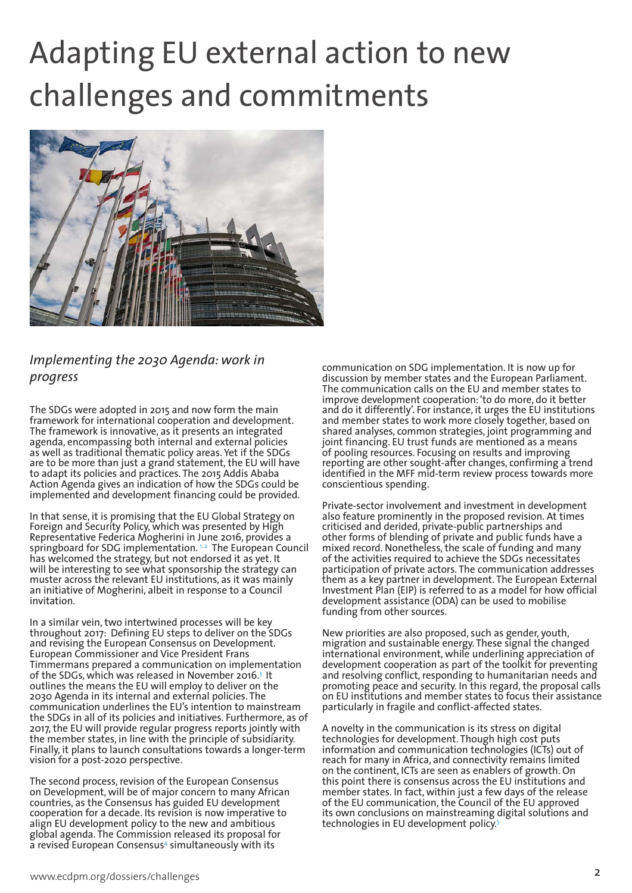# Adapting EU external action to new challenges and commitments



#### *Implementing the 2030 Agenda: work in progress*

The SDGs were adopted in 2015 and now form the main framework for international cooperation and development. The framework is innovative, as it presents an integrated agenda, encompassing both internal and external policies as well as traditional thematic policy areas. Yet if the SDGs are to be more than just a grand statement, the EU will have to adapt its policies and practices. The 2015 Addis Ababa Action Agenda gives an indication of how the SDGs could be implemented and development financing could be provided.

In that sense, it is promising that the EU Global Strategy on Foreign and Security Policy, which was presented by High Representative Federica Mogherini in June 2016, provides a springboard for SDG implementation.<sup>1,2</sup> The European Council has welcomed the strategy, but not endorsed it as yet. It will be interesting to see what sponsorship the strategy can muster across the relevant EU institutions, as it was mainly an initiative of Mogherini, albeit in response to a Council invitation.

In a similar vein, two intertwined processes will be key throughout 2017: Defining EU steps to deliver on the SDGs and revising the European Consensus on Development. European Commissioner and Vice President Frans Timmermans prepared a communication on implementation of the SDGs, which was released in November 2016.3 It outlines the means the EU will employ to deliver on the 2030 Agenda in its internal and external policies. The communication underlines the EU's intention to mainstream the SDGs in all of its policies and initiatives. Furthermore, as of 2017, the EU will provide regular progress reports jointly with the member states, in line with the principle of subsidiarity. Finally, it plans to launch consultations towards a longer-term vision for a post-2020 perspective.

The second process, revision of the European Consensus on Development, will be of major concern to many African countries, as the Consensus has guided EU development cooperation for a decade. Its revision is now imperative to align EU development policy to the new and ambitious global agenda. The Commission released its proposal for a revised European Consensus4 simultaneously with its

communication on SDG implementation. It is now up for discussion by member states and the European Parliament. The communication calls on the EU and member states to improve development cooperation: 'to do more, do it better and do it differently'. For instance, it urges the EU institutions and member states to work more closely together, based on shared analyses, common strategies, joint programming and joint financing. EU trust funds are mentioned as a means of pooling resources. Focusing on results and improving reporting are other sought-after changes, confirming a trend identified in the MFF mid-term review process towards more conscientious spending.

Private-sector involvement and investment in development also feature prominently in the proposed revision. At times criticised and derided, private-public partnerships and other forms of blending of private and public funds have a mixed record. Nonetheless, the scale of funding and many of the activities required to achieve the SDGs necessitates participation of private actors. The communication addresses them as a key partner in development. The European External Investment Plan (EIP) is referred to as a model for how official development assistance (ODA) can be used to mobilise funding from other sources.

New priorities are also proposed, such as gender, youth, migration and sustainable energy. These signal the changed international environment, while underlining appreciation of development cooperation as part of the toolkit for preventing and resolving conflict, responding to humanitarian needs and promoting peace and security. In this regard, the proposal calls on EU institutions and member states to focus their assistance particularly in fragile and conflict-affected states.

A novelty in the communication is its stress on digital technologies for development. Though high cost puts information and communication technologies (ICTs) out of reach for many in Africa, and connectivity remains limited on the continent, ICTs are seen as enablers of growth. On this point there is consensus across the EU institutions and member states. In fact, within just a few days of the release of the EU communication, the Council of the EU approved its own conclusions on mainstreaming digital solutions and technologies in EU development policy.5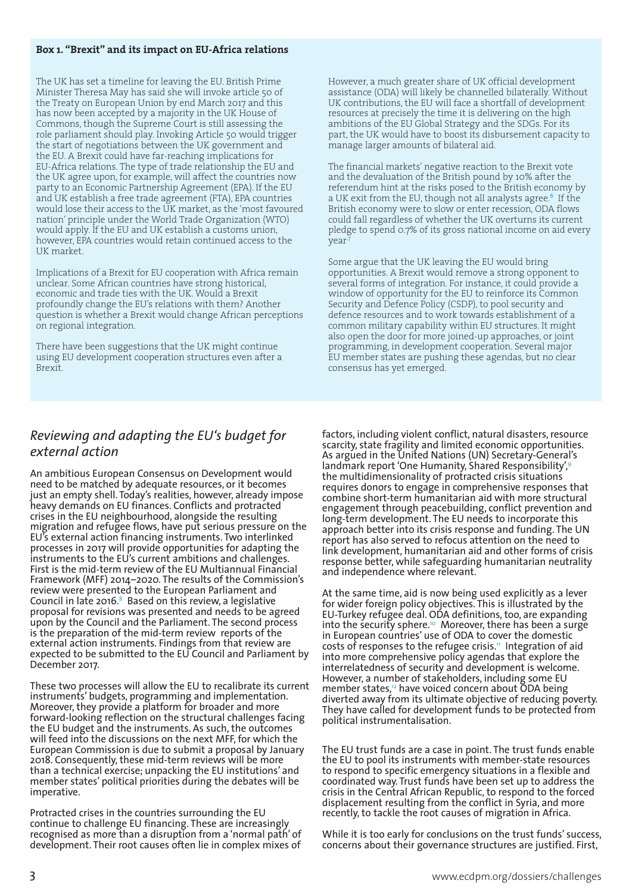#### **Box 1. "Brexit" and its impact on EU-Africa relations**

The UK has set a timeline for leaving the EU. British Prime Minister Theresa May has said she will invoke article 50 of the Treaty on European Union by end March 2017 and this has now been accepted by a majority in the UK House of Commons, though the Supreme Court is still assessing the role parliament should play. Invoking Article 50 would trigger the start of negotiations between the UK government and the EU. A Brexit could have far-reaching implications for EU-Africa relations. The type of trade relationship the EU and the UK agree upon, for example, will affect the countries now party to an Economic Partnership Agreement (EPA). If the EU and UK establish a free trade agreement (FTA), EPA countries would lose their access to the UK market, as the 'most favoured nation' principle under the World Trade Organization (WTO) would apply. If the EU and UK establish a customs union, however, EPA countries would retain continued access to the UK market.

Implications of a Brexit for EU cooperation with Africa remain unclear. Some African countries have strong historical, economic and trade ties with the UK. Would a Brexit profoundly change the EU's relations with them? Another question is whether a Brexit would change African perceptions on regional integration.

There have been suggestions that the UK might continue using EU development cooperation structures even after a Brexit.

However, a much greater share of UK official development assistance (ODA) will likely be channelled bilaterally. Without UK contributions, the EU will face a shortfall of development resources at precisely the time it is delivering on the high ambitions of the EU Global Strategy and the SDGs. For its part, the UK would have to boost its disbursement capacity to manage larger amounts of bilateral aid.

The financial markets' negative reaction to the Brexit vote and the devaluation of the British pound by 10% after the referendum hint at the risks posed to the British economy by a UK exit from the EU, though not all analysts agree.<sup>6</sup> If the British economy were to slow or enter recession, ODA flows could fall regardless of whether the UK overturns its current pledge to spend 0.7% of its gross national income on aid every year<sup>.</sup>

Some argue that the UK leaving the EU would bring opportunities. A Brexit would remove a strong opponent to several forms of integration. For instance, it could provide a window of opportunity for the EU to reinforce its Common Security and Defence Policy (CSDP), to pool security and defence resources and to work towards establishment of a common military capability within EU structures. It might also open the door for more joined-up approaches, or joint programming, in development cooperation. Several major EU member states are pushing these agendas, but no clear consensus has yet emerged.

### *Reviewing and adapting the EU's budget for external action*

An ambitious European Consensus on Development would need to be matched by adequate resources, or it becomes just an empty shell. Today's realities, however, already impose heavy demands on EU finances. Conflicts and protracted crises in the EU neighbourhood, alongside the resulting migration and refugee flows, have put serious pressure on the EU's external action financing instruments. Two interlinked processes in 2017 will provide opportunities for adapting the instruments to the EU's current ambitions and challenges. First is the mid-term review of the EU Multiannual Financial Framework (MFF) 2014–2020. The results of the Commission's review were presented to the European Parliament and Council in late 2016. $8$  Based on this review, a legislative proposal for revisions was presented and needs to be agreed upon by the Council and the Parliament. The second process is the preparation of the mid-term review reports of the external action instruments. Findings from that review are expected to be submitted to the EU Council and Parliament by December 2017.

These two processes will allow the EU to recalibrate its current instruments' budgets, programming and implementation. Moreover, they provide a platform for broader and more forward-looking reflection on the structural challenges facing the EU budget and the instruments. As such, the outcomes will feed into the discussions on the next MFF, for which the European Commission is due to submit a proposal by January 2018. Consequently, these mid-term reviews will be more than a technical exercise; unpacking the EU institutions' and member states' political priorities during the debates will be imperative.

Protracted crises in the countries surrounding the EU continue to challenge EU financing. These are increasingly recognised as more than a disruption from a 'normal path' of development. Their root causes often lie in complex mixes of factors, including violent conflict, natural disasters, resource scarcity, state fragility and limited economic opportunities. As argued in the United Nations (UN) Secretary-General's landmark report 'One Humanity, Shared Responsibility',<sup>9</sup> the multidimensionality of protracted crisis situations requires donors to engage in comprehensive responses that combine short-term humanitarian aid with more structural engagement through peacebuilding, conflict prevention and long-term development. The EU needs to incorporate this approach better into its crisis response and funding. The UN report has also served to refocus attention on the need to link development, humanitarian aid and other forms of crisis response better, while safeguarding humanitarian neutrality and independence where relevant.

At the same time, aid is now being used explicitly as a lever for wider foreign policy objectives. This is illustrated by the EU-Turkey refugee deal. ODA definitions, too, are expanding into the security sphere.<sup>10</sup> Moreover, there has been a surge in European countries' use of ODA to cover the domestic costs of responses to the refugee crisis.<sup>11</sup> Integration of aid into more comprehensive policy agendas that explore the interrelatedness of security and development is welcome. However, a number of stakeholders, including some EU member states,<sup>12</sup> have voiced concern about ODA being diverted away from its ultimate objective of reducing poverty. They have called for development funds to be protected from political instrumentalisation.

The EU trust funds are a case in point. The trust funds enable the EU to pool its instruments with member-state resources to respond to specific emergency situations in a flexible and coordinated way. Trust funds have been set up to address the crisis in the Central African Republic, to respond to the forced displacement resulting from the conflict in Syria, and more recently, to tackle the root causes of migration in Africa.

While it is too early for conclusions on the trust funds' success, concerns about their governance structures are justified. First,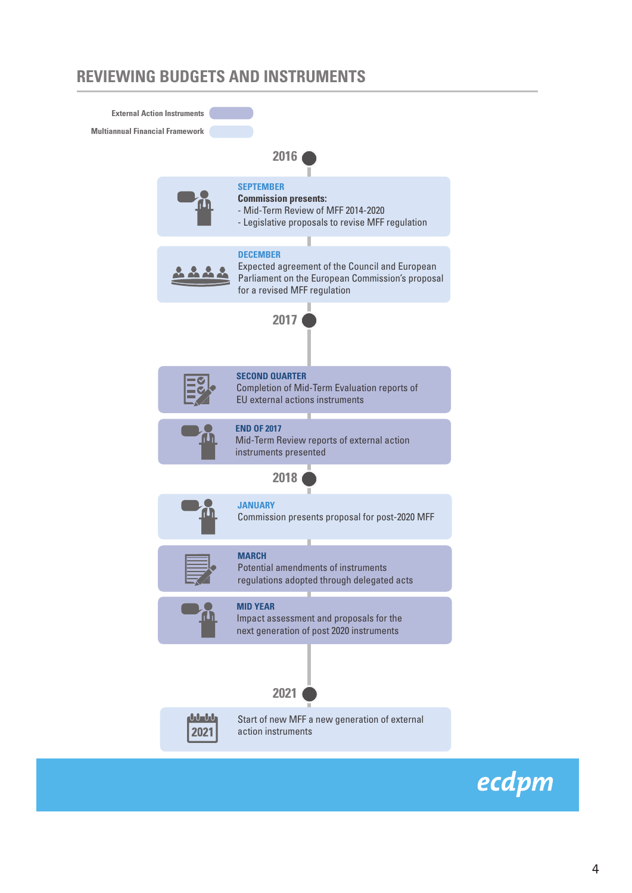### **REVIEWING BUDGETS AND INSTRUMENTS**



ecdpm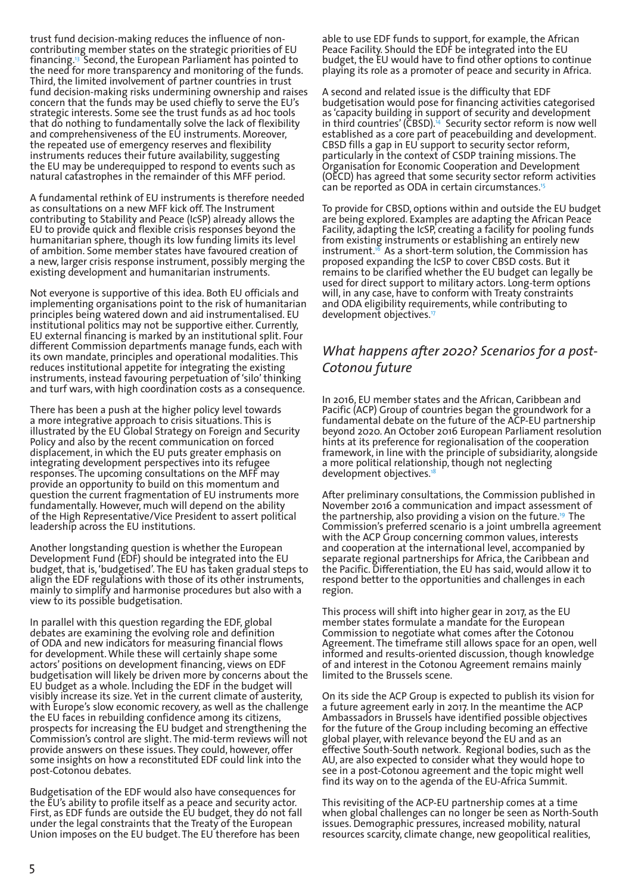trust fund decision-making reduces the influence of noncontributing member states on the strategic priorities of EU financing.13 Second, the European Parliament has pointed to the need for more transparency and monitoring of the funds. Third, the limited involvement of partner countries in trust fund decision-making risks undermining ownership and raises concern that the funds may be used chiefly to serve the EU's strategic interests. Some see the trust funds as ad hoc tools that do nothing to fundamentally solve the lack of flexibility and comprehensiveness of the EU instruments. Moreover, the repeated use of emergency reserves and flexibility instruments reduces their future availability, suggesting the EU may be underequipped to respond to events such as natural catastrophes in the remainder of this MFF period.

A fundamental rethink of EU instruments is therefore needed as consultations on a new MFF kick off. The Instrument contributing to Stability and Peace (IcSP) already allows the EU to provide quick and flexible crisis responses beyond the humanitarian sphere, though its low funding limits its level of ambition. Some member states have favoured creation of a new, larger crisis response instrument, possibly merging the existing development and humanitarian instruments.

Not everyone is supportive of this idea. Both EU officials and implementing organisations point to the risk of humanitarian principles being watered down and aid instrumentalised. EU institutional politics may not be supportive either. Currently, EU external financing is marked by an institutional split. Four different Commission departments manage funds, each with its own mandate, principles and operational modalities. This reduces institutional appetite for integrating the existing instruments, instead favouring perpetuation of 'silo' thinking and turf wars, with high coordination costs as a consequence.

There has been a push at the higher policy level towards a more integrative approach to crisis situations. This is illustrated by the EU Global Strategy on Foreign and Security Policy and also by the recent communication on forced displacement, in which the EU puts greater emphasis on integrating development perspectives into its refugee responses. The upcoming consultations on the MFF may provide an opportunity to build on this momentum and question the current fragmentation of EU instruments more fundamentally. However, much will depend on the ability of the High Representative/Vice President to assert political leadership across the EU institutions.

Another longstanding question is whether the European Development Fund (EDF) should be integrated into the EU budget, that is, 'budgetised'. The EU has taken gradual steps to align the EDF regulations with those of its other instruments, mainly to simplify and harmonise procedures but also with a view to its possible budgetisation.

In parallel with this question regarding the EDF, global debates are examining the evolving role and definition of ODA and new indicators for measuring financial flows for development. While these will certainly shape some actors' positions on development financing, views on EDF budgetisation will likely be driven more by concerns about the EU budget as a whole. Including the EDF in the budget will visibly increase its size. Yet in the current climate of austerity, with Europe's slow economic recovery, as well as the challenge the EU faces in rebuilding confidence among its citizens, prospects for increasing the EU budget and strengthening the Commission's control are slight. The mid-term reviews will not provide answers on these issues. They could, however, offer some insights on how a reconstituted EDF could link into the post-Cotonou debates.

Budgetisation of the EDF would also have consequences for the EU's ability to profile itself as a peace and security actor. First, as EDF funds are outside the EU budget, they do not fall under the legal constraints that the Treaty of the European Union imposes on the EU budget. The EU therefore has been

able to use EDF funds to support, for example, the African Peace Facility. Should the EDF be integrated into the EU budget, the EU would have to find other options to continue playing its role as a promoter of peace and security in Africa.

A second and related issue is the difficulty that EDF budgetisation would pose for financing activities categorised as 'capacity building in support of security and development in third countries' (CBSD).14 Security sector reform is now well established as a core part of peacebuilding and development. CBSD fills a gap in EU support to security sector reform, particularly in the context of CSDP training missions. The Organisation for Economic Cooperation and Development (OECD) has agreed that some security sector reform activities can be reported as ODA in certain circumstances.<sup>15</sup>

To provide for CBSD, options within and outside the EU budget are being explored. Examples are adapting the African Peace Facility, adapting the IcSP, creating a facility for pooling funds from existing instruments or establishing an entirely new instrument.<sup>16</sup> As a short-term solution, the Commission has proposed expanding the IcSP to cover CBSD costs. But it remains to be clarified whether the EU budget can legally be used for direct support to military actors. Long-term options will, in any case, have to conform with Treaty constraints and ODA eligibility requirements, while contributing to development objectives.17

#### *What happens after 2020? Scenarios for a post-Cotonou future*

In 2016, EU member states and the African, Caribbean and Pacific (ACP) Group of countries began the groundwork for a fundamental debate on the future of the ACP-EU partnership beyond 2020. An October 2016 European Parliament resolution hints at its preference for regionalisation of the cooperation framework, in line with the principle of subsidiarity, alongside a more political relationship, though not neglecting development objectives.<sup>18</sup>

After preliminary consultations, the Commission published in November 2016 a communication and impact assessment of the partnership, also providing a vision on the future.<sup>19</sup> The Commission's preferred scenario is a joint umbrella agreement with the ACP Group concerning common values, interests and cooperation at the international level, accompanied by separate regional partnerships for Africa, the Caribbean and the Pacific. Differentiation, the EU has said, would allow it to respond better to the opportunities and challenges in each region.

This process will shift into higher gear in 2017, as the EU member states formulate a mandate for the European Commission to negotiate what comes after the Cotonou Agreement. The timeframe still allows space for an open, well informed and results-oriented discussion, though knowledge of and interest in the Cotonou Agreement remains mainly limited to the Brussels scene.

On its side the ACP Group is expected to publish its vision for a future agreement early in 2017. In the meantime the ACP Ambassadors in Brussels have identified possible objectives for the future of the Group including becoming an effective global player, with relevance beyond the EU and as an effective South-South network. Regional bodies, such as the AU, are also expected to consider what they would hope to see in a post-Cotonou agreement and the topic might well find its way on to the agenda of the EU-Africa Summit.

This revisiting of the ACP-EU partnership comes at a time when global challenges can no longer be seen as North-South issues. Demographic pressures, increased mobility, natural resources scarcity, climate change, new geopolitical realities,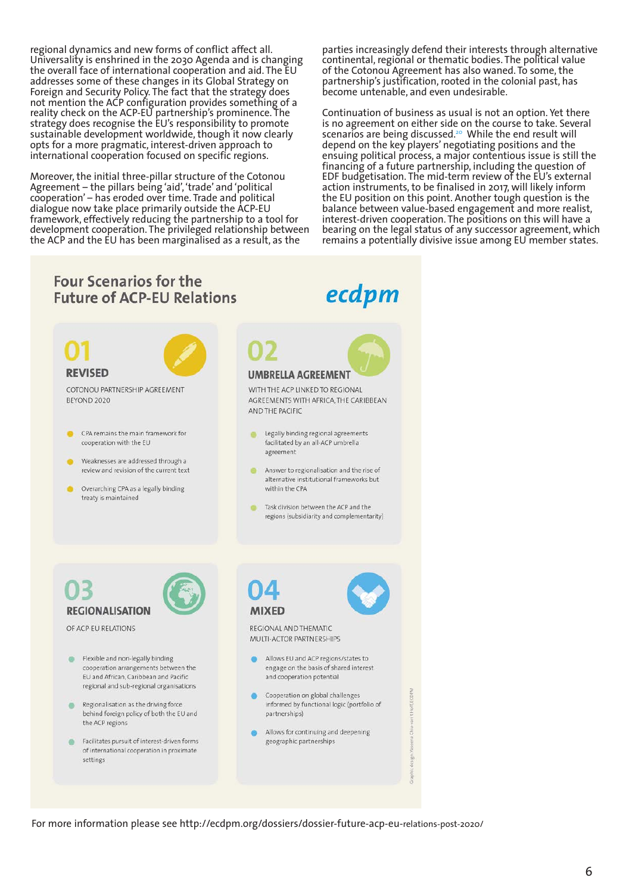regional dynamics and new forms of conflict affect all. Universality is enshrined in the 2030 Agenda and is changing the overall face of international cooperation and aid. The EU addresses some of these changes in its Global Strategy on Foreign and Security Policy. The fact that the strategy does not mention the ACP configuration provides something of a reality check on the ACP-EU partnership's prominence. The strategy does recognise the EU's responsibility to promote sustainable development worldwide, though it now clearly opts for a more pragmatic, interest-driven approach to international cooperation focused on specific regions.

Moreover, the initial three-pillar structure of the Cotonou Agreement – the pillars being 'aid', 'trade' and 'political cooperation' – has eroded over time. Trade and political dialogue now take place primarily outside the ACP-EU framework, effectively reducing the partnership to a tool for development cooperation. The privileged relationship between the ACP and the EU has been marginalised as a result, as the

parties increasingly defend their interests through alternative continental, regional or thematic bodies. The political value of the Cotonou Agreement has also waned. To some, the partnership's justification, rooted in the colonial past, has become untenable, and even undesirable.

Continuation of business as usual is not an option. Yet there is no agreement on either side on the course to take. Several scenarios are being discussed.<sup>20</sup> While the end result will depend on the key players' negotiating positions and the ensuing political process, a major contentious issue is still the financing of a future partnership, including the question of EDF budgetisation. The mid-term review of the EU's external action instruments, to be finalised in 2017, will likely inform the EU position on this point. Another tough question is the balance between value-based engagement and more realist, interest-driven cooperation. The positions on this will have a bearing on the legal status of any successor agreement, which remains a potentially divisive issue among EU member states.

#### **Four Scenarios for the** ecdpm **Future of ACP-EU Relations** UMBRELLA AGREEMENT COTONOU PARTNERSHIP AGREEMENT WITH THE ACP LINKED TO REGIONAL AGREEMENTS WITH AFRICA, THE CARIBBEAN BEYOND 2020 AND THE PACIFIC CPA remains the main framework for Legally binding regional agreements cooperation with the EU facilitated by an all-ACP umbrella agreement Weaknesses are addressed through a review and revision of the current text Answer to regionalisation and the rise of alternative institutional frameworks but Overarching CPA as a legally binding within the CPA treaty is maintained Task division between the ACP and the  $\bullet$ regions (subsidiarity and complementarity) **REGIONALISATION MIXFD** OF ACP-EU RELATIONS REGIONAL AND THEMATIC MUITI-ACTOR PARTNERSHIPS Flexible and non-legally binding Allows EU and ACP regions/states to cooperation arrangements between the engage on the basis of shared interest EU and African, Caribbean and Pacific and cooperation potential regional and sub-regional organisations Cooperation on global challenges informed by functional logic (portfolio of Regionalisation as the driving force behind foreign policy of both the EU and partnerships) the ACP regions Allows for continuing and deepening Facilitates pursuit of interest-driven forms geographic partnerships of international cooperation in proximate settings

For more information please see http://ecdpm.org/dossiers/dossier-future-acp-eu-relations-post-2020/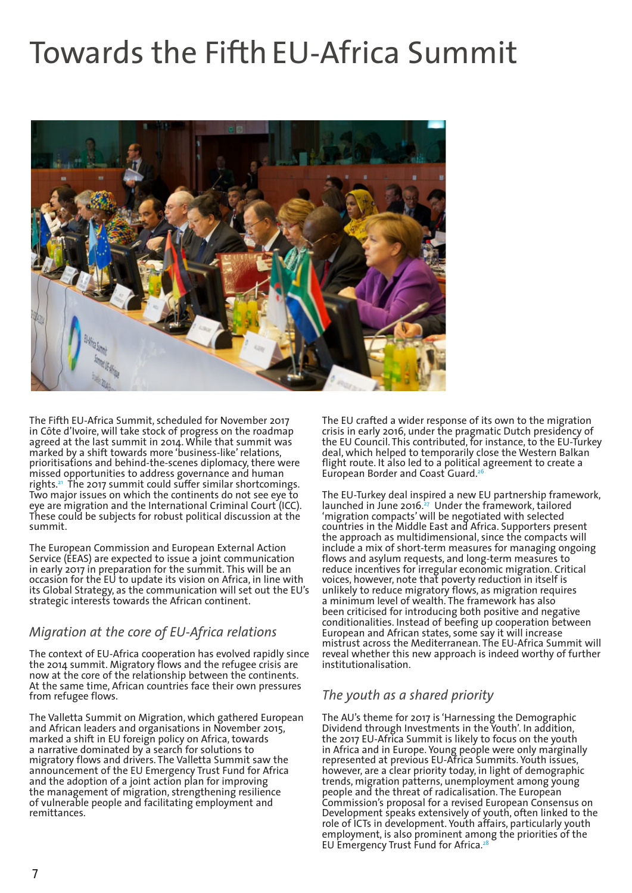## Towards the Fifth EU-Africa Summit



The Fifth EU-Africa Summit, scheduled for November 2017 in Côte d'Ivoire, will take stock of progress on the roadmap agreed at the last summit in 2014. While that summit was marked by a shift towards more 'business-like' relations, prioritisations and behind-the-scenes diplomacy, there were missed opportunities to address governance and human rights.<sup>21</sup> The 2017 summit could suffer similar shortcomings. Two major issues on which the continents do not see eye to eye are migration and the International Criminal Court (ICC). These could be subjects for robust political discussion at the summit.

The European Commission and European External Action Service (EEAS) are expected to issue a joint communication in early 2017 in preparation for the summit. This will be an occasion for the EU to update its vision on Africa, in line with its Global Strategy, as the communication will set out the EU's strategic interests towards the African continent.

#### *Migration at the core of EU-Africa relations*

The context of EU-Africa cooperation has evolved rapidly since the 2014 summit. Migratory flows and the refugee crisis are now at the core of the relationship between the continents. At the same time, African countries face their own pressures from refugee flows.

The Valletta Summit on Migration, which gathered European and African leaders and organisations in November 2015, marked a shift in EU foreign policy on Africa, towards a narrative dominated by a search for solutions to migratory flows and drivers. The Valletta Summit saw the announcement of the EU Emergency Trust Fund for Africa and the adoption of a joint action plan for improving the management of migration, strengthening resilience of vulnerable people and facilitating employment and remittances.

The EU crafted a wider response of its own to the migration crisis in early 2016, under the pragmatic Dutch presidency of the EU Council. This contributed, for instance, to the EU-Turkey deal, which helped to temporarily close the Western Balkan flight route. It also led to a political agreement to create a European Border and Coast Guard.<sup>26</sup>

The EU-Turkey deal inspired a new EU partnership framework, launched in June 2016. $^{27}$  Under the framework, tailored 'migration compacts' will be negotiated with selected countries in the Middle East and Africa. Supporters present the approach as multidimensional, since the compacts will include a mix of short-term measures for managing ongoing flows and asylum requests, and long-term measures to reduce incentives for irregular economic migration. Critical voices, however, note that poverty reduction in itself is unlikely to reduce migratory flows, as migration requires a minimum level of wealth. The framework has also been criticised for introducing both positive and negative conditionalities. Instead of beefing up cooperation between European and African states, some say it will increase mistrust across the Mediterranean. The EU-Africa Summit will reveal whether this new approach is indeed worthy of further institutionalisation.

#### *The youth as a shared priority*

The AU's theme for 2017 is 'Harnessing the Demographic Dividend through Investments in the Youth'. In addition, the 2017 EU-Africa Summit is likely to focus on the youth in Africa and in Europe. Young people were only marginally represented at previous EU-Africa Summits. Youth issues, however, are a clear priority today, in light of demographic trends, migration patterns, unemployment among young people and the threat of radicalisation. The European Commission's proposal for a revised European Consensus on Development speaks extensively of youth, often linked to the role of ICTs in development. Youth affairs, particularly youth employment, is also prominent among the priorities of the EU Emergency Trust Fund for Africa.<sup>2</sup>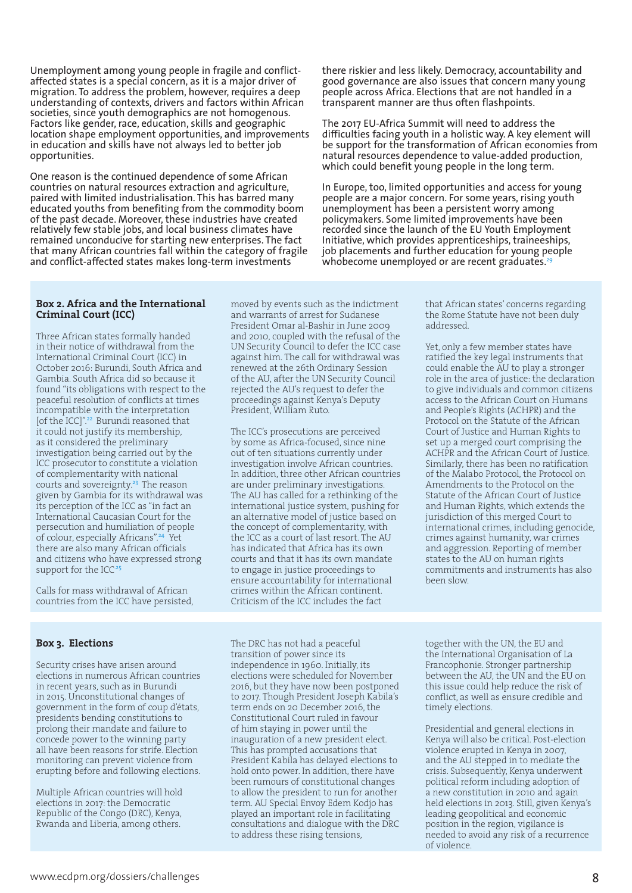Unemployment among young people in fragile and conflictaffected states is a special concern, as it is a major driver of migration. To address the problem, however, requires a deep understanding of contexts, drivers and factors within African societies, since youth demographics are not homogenous. Factors like gender, race, education, skills and geographic location shape employment opportunities, and improvements in education and skills have not always led to better job opportunities.

One reason is the continued dependence of some African countries on natural resources extraction and agriculture, paired with limited industrialisation. This has barred many educated youths from benefiting from the commodity boom of the past decade. Moreover, these industries have created relatively few stable jobs, and local business climates have remained unconducive for starting new enterprises. The fact that many African countries fall within the category of fragile and conflict-affected states makes long-term investments

there riskier and less likely. Democracy, accountability and good governance are also issues that concern many young people across Africa. Elections that are not handled in a transparent manner are thus often flashpoints.

The 2017 EU-Africa Summit will need to address the difficulties facing youth in a holistic way. A key element will be support for the transformation of African economies from natural resources dependence to value-added production, which could benefit young people in the long term.

In Europe, too, limited opportunities and access for young people are a major concern. For some years, rising youth unemployment has been a persistent worry among policymakers. Some limited improvements have been recorded since the launch of the EU Youth Employment Initiative, which provides apprenticeships, traineeships, job placements and further education for young people whobecome unemployed or are recent graduates.<sup>29</sup>

#### **Box 2. Africa and the International Criminal Court (ICC)**

Three African states formally handed in their notice of withdrawal from the International Criminal Court (ICC) in October 2016: Burundi, South Africa and Gambia. South Africa did so because it found "its obligations with respect to the peaceful resolution of conflicts at times incompatible with the interpretation [of the ICC]".<sup>22</sup> Burundi reasoned that it could not justify its membership, as it considered the preliminary investigation being carried out by the ICC prosecutor to constitute a violation of complementarity with national courts and sovereignty.<sup>23</sup> The reason given by Gambia for its withdrawal was its perception of the ICC as "in fact an International Caucasian Court for the persecution and humiliation of people of colour, especially Africans".<sup>24</sup> Yet there are also many African officials and citizens who have expressed strong support for the ICC<sup>-25</sup>

Calls for mass withdrawal of African countries from the ICC have persisted,

#### **Box 3. Elections**

Security crises have arisen around elections in numerous African countries in recent years, such as in Burundi in 2015. Unconstitutional changes of government in the form of coup d'états, presidents bending constitutions to prolong their mandate and failure to concede power to the winning party all have been reasons for strife. Election monitoring can prevent violence from erupting before and following elections.

Multiple African countries will hold elections in 2017: the Democratic Republic of the Congo (DRC), Kenya, Rwanda and Liberia, among others.

moved by events such as the indictment and warrants of arrest for Sudanese President Omar al-Bashir in June 2009 and 2010, coupled with the refusal of the UN Security Council to defer the ICC case against him. The call for withdrawal was renewed at the 26th Ordinary Session of the AU, after the UN Security Council rejected the AU's request to defer the proceedings against Kenya's Deputy President, William Ruto.

The ICC's prosecutions are perceived by some as Africa-focused, since nine out of ten situations currently under investigation involve African countries. In addition, three other African countries are under preliminary investigations. The AU has called for a rethinking of the international justice system, pushing for an alternative model of justice based on the concept of complementarity, with the ICC as a court of last resort. The AU has indicated that Africa has its own courts and that it has its own mandate to engage in justice proceedings to ensure accountability for international crimes within the African continent. Criticism of the ICC includes the fact

The DRC has not had a peaceful transition of power since its independence in 1960. Initially, its elections were scheduled for November 2016, but they have now been postponed to 2017. Though President Joseph Kabila's term ends on 20 December 2016, the Constitutional Court ruled in favour of him staying in power until the inauguration of a new president elect. This has prompted accusations that President Kabila has delayed elections to hold onto power. In addition, there have been rumours of constitutional changes to allow the president to run for another term. AU Special Envoy Edem Kodjo has

played an important role in facilitating consultations and dialogue with the DRC to address these rising tensions,

that African states' concerns regarding the Rome Statute have not been duly addressed.

Yet, only a few member states have ratified the key legal instruments that could enable the AU to play a stronger role in the area of justice: the declaration to give individuals and common citizens access to the African Court on Humans and People's Rights (ACHPR) and the Protocol on the Statute of the African Court of Justice and Human Rights to set up a merged court comprising the ACHPR and the African Court of Justice. Similarly, there has been no ratification of the Malabo Protocol, the Protocol on Amendments to the Protocol on the Statute of the African Court of Justice and Human Rights, which extends the jurisdiction of this merged Court to international crimes, including genocide, crimes against humanity, war crimes and aggression. Reporting of member states to the AU on human rights commitments and instruments has also been slow.

together with the UN, the EU and the International Organisation of La Francophonie. Stronger partnership between the AU, the UN and the EU on this issue could help reduce the risk of conflict, as well as ensure credible and timely elections.

Presidential and general elections in Kenya will also be critical. Post-election violence erupted in Kenya in 2007, and the AU stepped in to mediate the crisis. Subsequently, Kenya underwent political reform including adoption of a new constitution in 2010 and again held elections in 2013. Still, given Kenya's leading geopolitical and economic position in the region, vigilance is needed to avoid any risk of a recurrence of violence.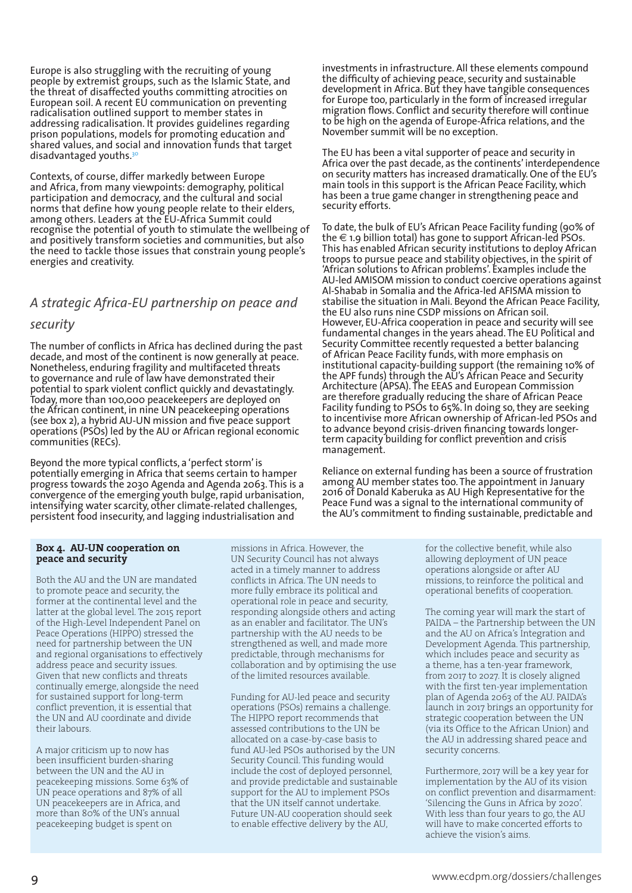Europe is also struggling with the recruiting of young people by extremist groups, such as the Islamic State, and the threat of disaffected youths committing atrocities on European soil. A recent EU communication on preventing radicalisation outlined support to member states in addressing radicalisation. It provides guidelines regarding prison populations, models for promoting education and shared values, and social and innovation funds that target disadvantaged youths.30

Contexts, of course, differ markedly between Europe and Africa, from many viewpoints: demography, political participation and democracy, and the cultural and social norms that define how young people relate to their elders, among others. Leaders at the EU-Africa Summit could recognise the potential of youth to stimulate the wellbeing of and positively transform societies and communities, but also the need to tackle those issues that constrain young people's energies and creativity.

### *A strategic Africa-EU partnership on peace and*

#### *security*

The number of conflicts in Africa has declined during the past decade, and most of the continent is now generally at peace. Nonetheless, enduring fragility and multifaceted threats to governance and rule of law have demonstrated their potential to spark violent conflict quickly and devastatingly. Today, more than 100,000 peacekeepers are deployed on the African continent, in nine UN peacekeeping operations (see box 2), a hybrid AU-UN mission and five peace support operations (PSOs) led by the AU or African regional economic communities (RECs).

Beyond the more typical conflicts, a 'perfect storm' is potentially emerging in Africa that seems certain to hamper progress towards the 2030 Agenda and Agenda 2063. This is a convergence of the emerging youth bulge, rapid urbanisation, intensifying water scarcity, other climate-related challenges, persistent food insecurity, and lagging industrialisation and

investments in infrastructure. All these elements compound the difficulty of achieving peace, security and sustainable development in Africa. But they have tangible consequences for Europe too, particularly in the form of increased irregular migration flows. Conflict and security therefore will continue to be high on the agenda of Europe-Africa relations, and the November summit will be no exception.

The EU has been a vital supporter of peace and security in Africa over the past decade, as the continents' interdependence on security matters has increased dramatically. One of the EU's main tools in this support is the African Peace Facility, which has been a true game changer in strengthening peace and security efforts.

To date, the bulk of EU's African Peace Facility funding (90% of the  $\in$  1.9 billion total) has gone to support African-led PSOs. This has enabled African security institutions to deploy African troops to pursue peace and stability objectives, in the spirit of 'African solutions to African problems'. Examples include the AU-led AMISOM mission to conduct coercive operations against Al-Shabab in Somalia and the Africa-led AFISMA mission to stabilise the situation in Mali. Beyond the African Peace Facility, the EU also runs nine CSDP missions on African soil. However, EU-Africa cooperation in peace and security will see fundamental changes in the years ahead. The EU Political and Security Committee recently requested a better balancing of African Peace Facility funds, with more emphasis on institutional capacity-building support (the remaining 10% of the APF funds) through the AU's African Peace and Security Architecture (APSA). The EEAS and European Commission are therefore gradually reducing the share of African Peace Facility funding to PSOs to 65%. In doing so, they are seeking to incentivise more African ownership of African-led PSOs and to advance beyond crisis-driven financing towards longerterm capacity building for conflict prevention and crisis management.

Reliance on external funding has been a source of frustration among AU member states too. The appointment in January 2016 of Donald Kaberuka as AU High Representative for the Peace Fund was a signal to the international community of the AU's commitment to finding sustainable, predictable and

#### **Box 4. AU-UN cooperation on peace and security**

Both the AU and the UN are mandated to promote peace and security, the former at the continental level and the latter at the global level. The 2015 report of the High-Level Independent Panel on Peace Operations (HIPPO) stressed the need for partnership between the UN and regional organisations to effectively address peace and security issues. Given that new conflicts and threats continually emerge, alongside the need for sustained support for long-term conflict prevention, it is essential that the UN and AU coordinate and divide their labours.

A major criticism up to now has been insufficient burden-sharing between the UN and the AU in peacekeeping missions. Some 63% of UN peace operations and 87% of all UN peacekeepers are in Africa, and more than 80% of the UN's annual peacekeeping budget is spent on

missions in Africa. However, the UN Security Council has not always acted in a timely manner to address conflicts in Africa. The UN needs to more fully embrace its political and operational role in peace and security, responding alongside others and acting as an enabler and facilitator. The UN's partnership with the AU needs to be strengthened as well, and made more predictable, through mechanisms for collaboration and by optimising the use of the limited resources available.

Funding for AU-led peace and security operations (PSOs) remains a challenge. The HIPPO report recommends that assessed contributions to the UN be allocated on a case-by-case basis to fund AU-led PSOs authorised by the UN Security Council. This funding would include the cost of deployed personnel, and provide predictable and sustainable support for the AU to implement PSOs that the UN itself cannot undertake. Future UN-AU cooperation should seek to enable effective delivery by the AU,

for the collective benefit, while also allowing deployment of UN peace operations alongside or after AU missions, to reinforce the political and operational benefits of cooperation.

The coming year will mark the start of PAIDA – the Partnership between the UN and the AU on Africa's Integration and Development Agenda. This partnership, which includes peace and security as a theme, has a ten-year framework, from 2017 to 2027. It is closely aligned with the first ten-year implementation plan of Agenda 2063 of the AU. PAIDA's launch in 2017 brings an opportunity for strategic cooperation between the UN (via its Office to the African Union) and the AU in addressing shared peace and security concerns.

Furthermore, 2017 will be a key year for implementation by the AU of its vision on conflict prevention and disarmament: 'Silencing the Guns in Africa by 2020'. With less than four years to go, the AU will have to make concerted efforts to achieve the vision's aims.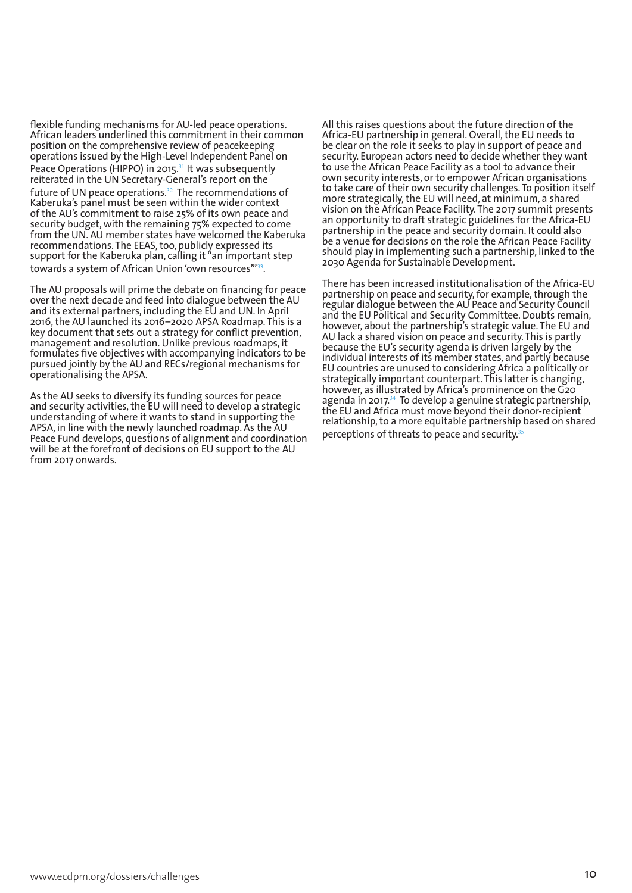flexible funding mechanisms for AU-led peace operations. African leaders underlined this commitment in their common position on the comprehensive review of peacekeeping operations issued by the High-Level Independent Panel on Peace Operations (HIPPO) in 2015.<sup>31</sup> It was subsequently reiterated in the UN Secretary-General's report on the future of UN peace operations. $32$  The recommendations of Kaberuka's panel must be seen within the wider context of the AU's commitment to raise 25% of its own peace and security budget, with the remaining 75% expected to come from the UN. AU member states have welcomed the Kaberuka recommendations. The EEAS, too, publicly expressed its support for the Kaberuka plan, calling it "an important step towards a system of African Union 'own resources'"<sup>33</sup>.

The AU proposals will prime the debate on financing for peace over the next decade and feed into dialogue between the AU and its external partners, including the EU and UN. In April 2016, the AU launched its 2016–2020 APSA Roadmap. This is a key document that sets out a strategy for conflict prevention, management and resolution. Unlike previous roadmaps, it formulates five objectives with accompanying indicators to be pursued jointly by the AU and RECs/regional mechanisms for operationalising the APSA.

As the AU seeks to diversify its funding sources for peace and security activities, the EU will need to develop a strategic understanding of where it wants to stand in supporting the APSA, in line with the newly launched roadmap. As the AU Peace Fund develops, questions of alignment and coordination will be at the forefront of decisions on EU support to the AU from 2017 onwards.

All this raises questions about the future direction of the Africa-EU partnership in general. Overall, the EU needs to be clear on the role it seeks to play in support of peace and security. European actors need to decide whether they want to use the African Peace Facility as a tool to advance their own security interests, or to empower African organisations to take care of their own security challenges. To position itself more strategically, the EU will need, at minimum, a shared vision on the African Peace Facility. The 2017 summit presents an opportunity to draft strategic guidelines for the Africa-EU partnership in the peace and security domain. It could also be a venue for decisions on the role the African Peace Facility should play in implementing such a partnership, linked to the 2030 Agenda for Sustainable Development.

There has been increased institutionalisation of the Africa-EU partnership on peace and security, for example, through the regular dialogue between the AU Peace and Security Council and the EU Political and Security Committee. Doubts remain, however, about the partnership's strategic value. The EU and AU lack a shared vision on peace and security. This is partly because the EU's security agenda is driven largely by the individual interests of its member states, and partly because EU countries are unused to considering Africa a politically or strategically important counterpart. This latter is changing, however, as illustrated by Africa's prominence on the G20 agenda in 2017. $34$  To develop a genuine strategic partnership, the EU and Africa must move beyond their donor-recipient relationship, to a more equitable partnership based on shared perceptions of threats to peace and security.<sup>35</sup>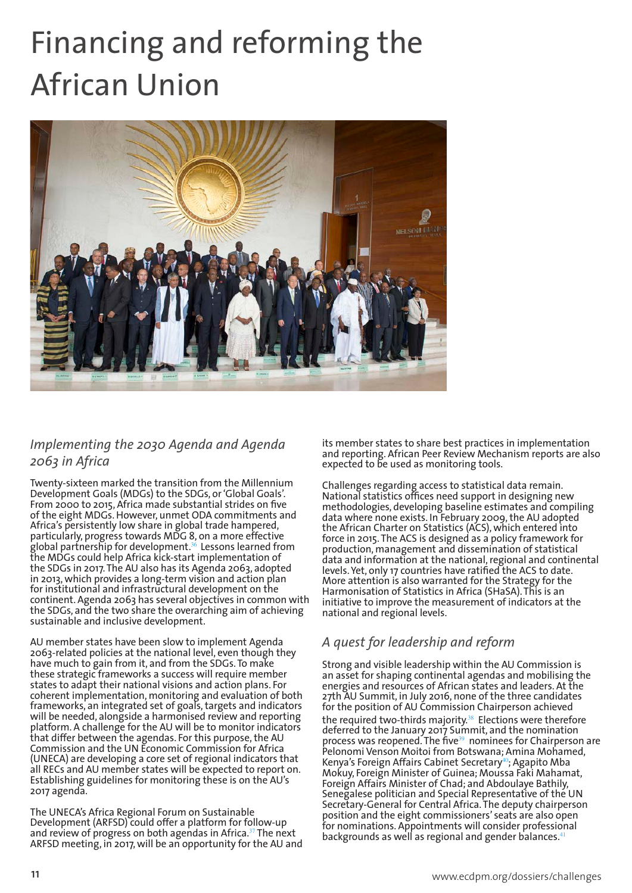# Financing and reforming the African Union



#### *Implementing the 2030 Agenda and Agenda 2063 in Africa*

Twenty-sixteen marked the transition from the Millennium Development Goals (MDGs) to the SDGs, or 'Global Goals'. From 2000 to 2015, Africa made substantial strides on five of the eight MDGs. However, unmet ODA commitments and Africa's persistently low share in global trade hampered, particularly, progress towards MDG 8, on a more effective global partnership for development. $^{36}$  Lessons learned from the MDGs could help Africa kick-start implementation of the SDGs in 2017. The AU also has its Agenda 2063, adopted in 2013, which provides a long-term vision and action plan for institutional and infrastructural development on the continent. Agenda 2063 has several objectives in common with the SDGs, and the two share the overarching aim of achieving sustainable and inclusive development.

AU member states have been slow to implement Agenda 2063-related policies at the national level, even though they have much to gain from it, and from the SDGs. To make these strategic frameworks a success will require member states to adapt their national visions and action plans. For coherent implementation, monitoring and evaluation of both frameworks, an integrated set of goals, targets and indicators will be needed, alongside a harmonised review and reporting platform. A challenge for the AU will be to monitor indicators that differ between the agendas. For this purpose, the AU Commission and the UN Economic Commission for Africa (UNECA) are developing a core set of regional indicators that all RECs and AU member states will be expected to report on. Establishing guidelines for monitoring these is on the AU's 2017 agenda.

The UNECA's Africa Regional Forum on Sustainable Development (ARFSD) could offer a platform for follow-up and review of progress on both agendas in Africa.<sup>37</sup> The next ARFSD meeting, in 2017, will be an opportunity for the AU and its member states to share best practices in implementation and reporting. African Peer Review Mechanism reports are also expected to be used as monitoring tools.

Challenges regarding access to statistical data remain. National statistics offices need support in designing new methodologies, developing baseline estimates and compiling data where none exists. In February 2009, the AU adopted the African Charter on Statistics (ACS), which entered into force in 2015. The ACS is designed as a policy framework for production, management and dissemination of statistical data and information at the national, regional and continental levels. Yet, only 17 countries have ratified the ACS to date. More attention is also warranted for the Strategy for the Harmonisation of Statistics in Africa (SHaSA). This is an initiative to improve the measurement of indicators at the national and regional levels.

#### *A quest for leadership and reform*

Strong and visible leadership within the AU Commission is an asset for shaping continental agendas and mobilising the energies and resources of African states and leaders. At the 27th AU Summit, in July 2016, none of the three candidates for the position of AU Commission Chairperson achieved the required two-thirds majority.<sup>38</sup> Elections were therefore deferred to the January 2017 Summit, and the nomination process was reopened. The five<sup>39</sup> nominees for Chairperson are Pelonomi Venson Moitoi from Botswana; Amina Mohamed, Kenya's Foreign Affairs Cabinet Secretary<sup>40</sup>; Agapito Mba Mokuy, Foreign Minister of Guinea; Moussa Faki Mahamat, Foreign Affairs Minister of Chad; and Abdoulaye Bathily, Senegalese politician and Special Representative of the UN Secretary-General for Central Africa. The deputy chairperson position and the eight commissioners' seats are also open for nominations. Appointments will consider professional backgrounds as well as regional and gender balances.<sup>41</sup>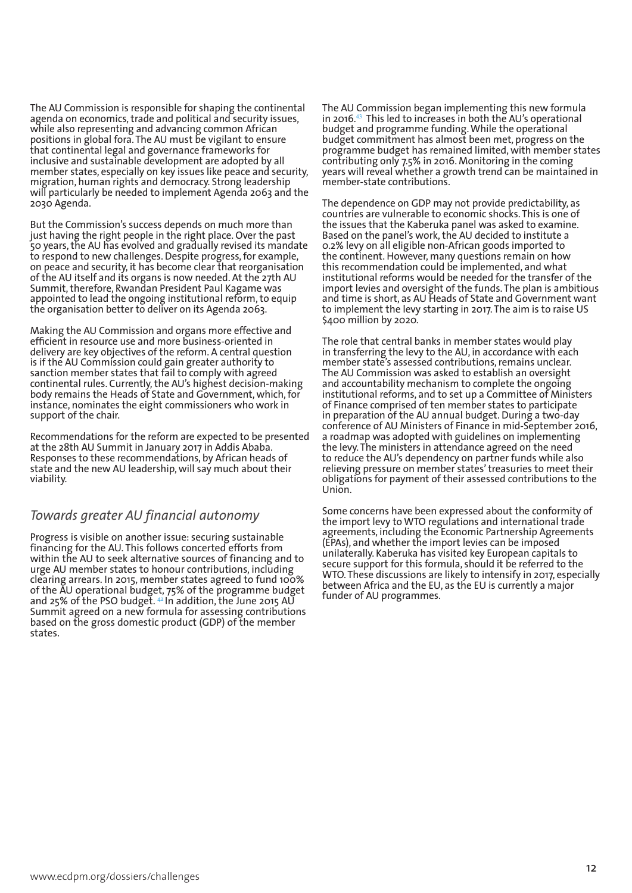The AU Commission is responsible for shaping the continental agenda on economics, trade and political and security issues, while also representing and advancing common African positions in global fora. The AU must be vigilant to ensure that continental legal and governance frameworks for inclusive and sustainable development are adopted by all member states, especially on key issues like peace and security, migration, human rights and democracy. Strong leadership will particularly be needed to implement Agenda 2063 and the 2030 Agenda.

But the Commission's success depends on much more than just having the right people in the right place. Over the past 50 years, the AU has evolved and gradually revised its mandate to respond to new challenges. Despite progress, for example, on peace and security, it has become clear that reorganisation of the AU itself and its organs is now needed. At the 27th AU Summit, therefore, Rwandan President Paul Kagame was appointed to lead the ongoing institutional reform, to equip the organisation better to deliver on its Agenda 2063.

Making the AU Commission and organs more effective and efficient in resource use and more business-oriented in delivery are key objectives of the reform. A central question is if the AU Commission could gain greater authority to sanction member states that fail to comply with agreed continental rules. Currently, the AU's highest decision-making body remains the Heads of State and Government, which, for instance, nominates the eight commissioners who work in support of the chair.

Recommendations for the reform are expected to be presented at the 28th AU Summit in January 2017 in Addis Ababa. Responses to these recommendations, by African heads of state and the new AU leadership, will say much about their viability.

#### *Towards greater AU financial autonomy*

Progress is visible on another issue: securing sustainable financing for the AU. This follows concerted efforts from within the AU to seek alternative sources of financing and to urge AU member states to honour contributions, including clearing arrears. In 2015, member states agreed to fund 100% of the AU operational budget, 75% of the programme budget and 25% of the PSO budget. 42 In addition, the June 2015 AU Summit agreed on a new formula for assessing contributions based on the gross domestic product (GDP) of the member states.

The AU Commission began implementing this new formula in 2016.<sup>43</sup> This led to increases in both the AU's operational budget and programme funding. While the operational budget commitment has almost been met, progress on the programme budget has remained limited, with member states contributing only 7.5% in 2016. Monitoring in the coming years will reveal whether a growth trend can be maintained in member-state contributions.

The dependence on GDP may not provide predictability, as countries are vulnerable to economic shocks. This is one of the issues that the Kaberuka panel was asked to examine. Based on the panel's work, the AU decided to institute a 0.2% levy on all eligible non-African goods imported to the continent. However, many questions remain on how this recommendation could be implemented, and what institutional reforms would be needed for the transfer of the import levies and oversight of the funds. The plan is ambitious and time is short, as AU Heads of State and Government want to implement the levy starting in 2017. The aim is to raise US \$400 million by 2020.

The role that central banks in member states would play in transferring the levy to the AU, in accordance with each member state's assessed contributions, remains unclear. The AU Commission was asked to establish an oversight and accountability mechanism to complete the ongoing institutional reforms, and to set up a Committee of Ministers of Finance comprised of ten member states to participate in preparation of the AU annual budget. During a two-day conference of AU Ministers of Finance in mid-September 2016, a roadmap was adopted with guidelines on implementing the levy. The ministers in attendance agreed on the need to reduce the AU's dependency on partner funds while also relieving pressure on member states' treasuries to meet their obligations for payment of their assessed contributions to the Union.

Some concerns have been expressed about the conformity of the import levy to WTO regulations and international trade agreements, including the Economic Partnership Agreements (EPAs), and whether the import levies can be imposed unilaterally. Kaberuka has visited key European capitals to secure support for this formula, should it be referred to the WTO. These discussions are likely to intensify in 2017, especially between Africa and the EU, as the EU is currently a major funder of AU programmes.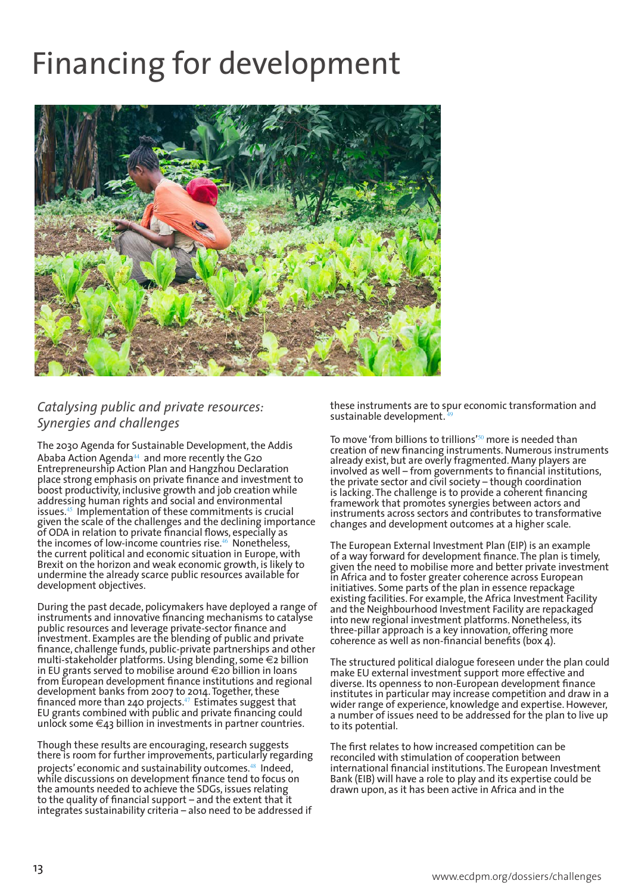## Financing for development



#### *Catalysing public and private resources: Synergies and challenges*

The 2030 Agenda for Sustainable Development, the Addis Ababa Action Agenda<sup>44</sup> and more recently the G20 Entrepreneurship Action Plan and Hangzhou Declaration place strong emphasis on private finance and investment to boost productivity, inclusive growth and job creation while addressing human rights and social and environmental issues.<sup>45</sup> Implementation of these commitments is crucial given the scale of the challenges and the declining importance of ODA in relation to private financial flows, especially as the incomes of low-income countries rise.<sup>46</sup> Nonetheless, the current political and economic situation in Europe, with Brexit on the horizon and weak economic growth, is likely to undermine the already scarce public resources available for development objectives.

During the past decade, policymakers have deployed a range of instruments and innovative financing mechanisms to catalyse public resources and leverage private-sector finance and investment. Examples are the blending of public and private finance, challenge funds, public-private partnerships and other multi-stakeholder platforms. Using blending, some €2 billion in EU grants served to mobilise around €20 billion in loans from European development finance institutions and regional development banks from 2007 to 2014. Together, these financed more than 240 projects. $\rm ^{47}$  Estimates suggest that EU grants combined with public and private financing could unlock some  $\epsilon_4$ 3 billion in investments in partner countries.

Though these results are encouraging, research suggests there is room for further improvements, particularly regarding projects' economic and sustainability outcomes.<sup>48</sup> Indeed, while discussions on development finance tend to focus on the amounts needed to achieve the SDGs, issues relating to the quality of financial support – and the extent that it integrates sustainability criteria – also need to be addressed if these instruments are to spur economic transformation and sustainable development.

To move 'from billions to trillions'<sup>50</sup> more is needed than creation of new financing instruments. Numerous instruments already exist, but are overly fragmented. Many players are involved as well – from governments to financial institutions, the private sector and civil society – though coordination is lacking. The challenge is to provide a coherent financing framework that promotes synergies between actors and instruments across sectors and contributes to transformative changes and development outcomes at a higher scale.

The European External Investment Plan (EIP) is an example of a way forward for development finance. The plan is timely, given the need to mobilise more and better private investment in Africa and to foster greater coherence across European initiatives. Some parts of the plan in essence repackage existing facilities. For example, the Africa Investment Facility and the Neighbourhood Investment Facility are repackaged into new regional investment platforms. Nonetheless, its three-pillar approach is a key innovation, offering more coherence as well as non-financial benefits (box 4).

The structured political dialogue foreseen under the plan could make EU external investment support more effective and diverse. Its openness to non-European development finance institutes in particular may increase competition and draw in a wider range of experience, knowledge and expertise. However, a number of issues need to be addressed for the plan to live up to its potential.

The first relates to how increased competition can be reconciled with stimulation of cooperation between international financial institutions. The European Investment Bank (EIB) will have a role to play and its expertise could be drawn upon, as it has been active in Africa and in the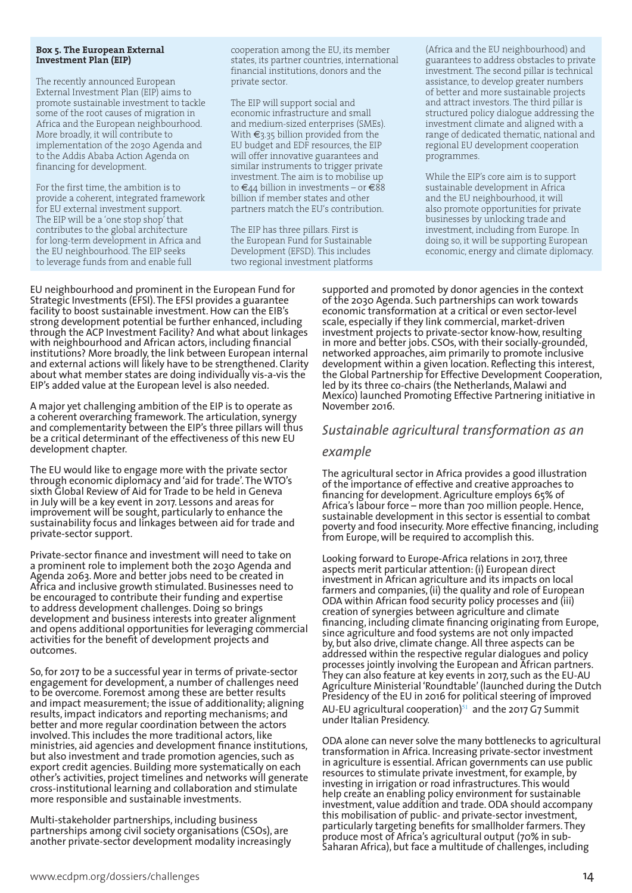#### **Box 5. The European External Investment Plan (EIP)**

The recently announced European External Investment Plan (EIP) aims to promote sustainable investment to tackle some of the root causes of migration in Africa and the European neighbourhood. More broadly, it will contribute to implementation of the 2030 Agenda and to the Addis Ababa Action Agenda on financing for development.

For the first time, the ambition is to provide a coherent, integrated framework for EU external investment support. The EIP will be a 'one stop shop' that contributes to the global architecture for long-term development in Africa and the EU neighbourhood. The EIP seeks to leverage funds from and enable full

cooperation among the EU, its member states, its partner countries, international financial institutions, donors and the private sector.

The EIP will support social and economic infrastructure and small and medium-sized enterprises (SMEs). With €3.35 billion provided from the EU budget and EDF resources, the EIP will offer innovative guarantees and similar instruments to trigger private investment. The aim is to mobilise up to  $\epsilon_{44}$  billion in investments – or  $\epsilon_{88}$ billion if member states and other partners match the EU's contribution.

The EIP has three pillars. First is the European Fund for Sustainable Development (EFSD). This includes two regional investment platforms (Africa and the EU neighbourhood) and guarantees to address obstacles to private investment. The second pillar is technical assistance, to develop greater numbers of better and more sustainable projects and attract investors. The third pillar is structured policy dialogue addressing the investment climate and aligned with a range of dedicated thematic, national and regional EU development cooperation programmes.

While the EIP's core aim is to support sustainable development in Africa and the EU neighbourhood, it will also promote opportunities for private businesses by unlocking trade and investment, including from Europe. In doing so, it will be supporting European economic, energy and climate diplomacy.

EU neighbourhood and prominent in the European Fund for Strategic Investments (EFSI). The EFSI provides a guarantee facility to boost sustainable investment. How can the EIB's strong development potential be further enhanced, including through the ACP Investment Facility? And what about linkages with neighbourhood and African actors, including financial institutions? More broadly, the link between European internal and external actions will likely have to be strengthened. Clarity about what member states are doing individually vis-a-vis the EIP's added value at the European level is also needed.

A major yet challenging ambition of the EIP is to operate as a coherent overarching framework. The articulation, synergy and complementarity between the EIP's three pillars will thus be a critical determinant of the effectiveness of this new EU development chapter.

The EU would like to engage more with the private sector through economic diplomacy and 'aid for trade'. The WTO's sixth Global Review of Aid for Trade to be held in Geneva in July will be a key event in 2017. Lessons and areas for improvement will be sought, particularly to enhance the sustainability focus and linkages between aid for trade and private-sector support.

Private-sector finance and investment will need to take on a prominent role to implement both the 2030 Agenda and Agenda 2063. More and better jobs need to be created in Africa and inclusive growth stimulated. Businesses need to be encouraged to contribute their funding and expertise to address development challenges. Doing so brings development and business interests into greater alignment and opens additional opportunities for leveraging commercial activities for the benefit of development projects and outcomes.

So, for 2017 to be a successful year in terms of private-sector engagement for development, a number of challenges need to be overcome. Foremost among these are better results and impact measurement; the issue of additionality; aligning results, impact indicators and reporting mechanisms; and better and more regular coordination between the actors involved. This includes the more traditional actors, like ministries, aid agencies and development finance institutions, but also investment and trade promotion agencies, such as export credit agencies. Building more systematically on each other's activities, project timelines and networks will generate cross-institutional learning and collaboration and stimulate more responsible and sustainable investments.

Multi-stakeholder partnerships, including business partnerships among civil society organisations (CSOs), are another private-sector development modality increasingly supported and promoted by donor agencies in the context of the 2030 Agenda. Such partnerships can work towards economic transformation at a critical or even sector-level scale, especially if they link commercial, market-driven investment projects to private-sector know-how, resulting in more and better jobs. CSOs, with their socially-grounded, networked approaches, aim primarily to promote inclusive development within a given location. Reflecting this interest, the Global Partnership for Effective Development Cooperation, led by its three co-chairs (the Netherlands, Malawi and Mexico) launched Promoting Effective Partnering initiative in November 2016.

#### *Sustainable agricultural transformation as an*

#### *example*

The agricultural sector in Africa provides a good illustration of the importance of effective and creative approaches to financing for development. Agriculture employs 65% of Africa's labour force – more than 700 million people. Hence, sustainable development in this sector is essential to combat poverty and food insecurity. More effective financing, including from Europe, will be required to accomplish this.

Looking forward to Europe-Africa relations in 2017, three aspects merit particular attention: (i) European direct investment in African agriculture and its impacts on local farmers and companies, (ii) the quality and role of European ODA within African food security policy processes and (iii) creation of synergies between agriculture and climate financing, including climate financing originating from Europe, since agriculture and food systems are not only impacted by, but also drive, climate change. All three aspects can be addressed within the respective regular dialogues and policy processes jointly involving the European and African partners. They can also feature at key events in 2017, such as the EU-AU Agriculture Ministerial 'Roundtable' (launched during the Dutch Presidency of the EU in 2016 for political steering of improved AU-EU agricultural cooperation) $51$  and the 2017 G7 Summit under Italian Presidency.

ODA alone can never solve the many bottlenecks to agricultural transformation in Africa. Increasing private-sector investment in agriculture is essential. African governments can use public resources to stimulate private investment, for example, by investing in irrigation or road infrastructures. This would help create an enabling policy environment for sustainable investment, value addition and trade. ODA should accompany this mobilisation of public- and private-sector investment, particularly targeting benefits for smallholder farmers. They produce most of Africa's agricultural output (70% in sub-Saharan Africa), but face a multitude of challenges, including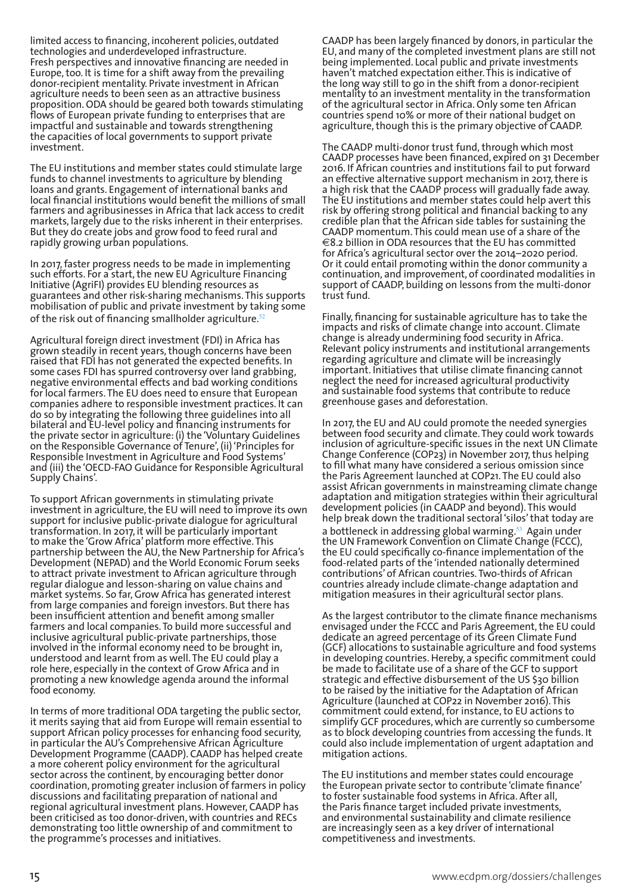limited access to financing, incoherent policies, outdated technologies and underdeveloped infrastructure. Fresh perspectives and innovative financing are needed in Europe, too. It is time for a shift away from the prevailing donor-recipient mentality. Private investment in African agriculture needs to been seen as an attractive business proposition. ODA should be geared both towards stimulating flows of European private funding to enterprises that are impactful and sustainable and towards strengthening the capacities of local governments to support private investment.

The EU institutions and member states could stimulate large funds to channel investments to agriculture by blending loans and grants. Engagement of international banks and local financial institutions would benefit the millions of small farmers and agribusinesses in Africa that lack access to credit markets, largely due to the risks inherent in their enterprises. But they do create jobs and grow food to feed rural and rapidly growing urban populations.

In 2017, faster progress needs to be made in implementing such efforts. For a start, the new EU Agriculture Financing Initiative (AgriFI) provides EU blending resources as guarantees and other risk-sharing mechanisms. This supports mobilisation of public and private investment by taking some of the risk out of financing smallholder agriculture. $52$ 

Agricultural foreign direct investment (FDI) in Africa has grown steadily in recent years, though concerns have been raised that FDI has not generated the expected benefits. In some cases FDI has spurred controversy over land grabbing, negative environmental effects and bad working conditions for local farmers. The EU does need to ensure that European companies adhere to responsible investment practices. It can do so by integrating the following three guidelines into all bilateral and EU-level policy and financing instruments for the private sector in agriculture: (i) the 'Voluntary Guidelines on the Responsible Governance of Tenure', (ii) 'Principles for Responsible Investment in Agriculture and Food Systems' and (iii) the 'OECD-FAO Guidance for Responsible Agricultural Supply Chains'.

To support African governments in stimulating private investment in agriculture, the EU will need to improve its own support for inclusive public-private dialogue for agricultural transformation. In 2017, it will be particularly important to make the 'Grow Africa' platform more effective. This partnership between the AU, the New Partnership for Africa's Development (NEPAD) and the World Economic Forum seeks to attract private investment to African agriculture through regular dialogue and lesson-sharing on value chains and market systems. So far, Grow Africa has generated interest from large companies and foreign investors. But there has been insufficient attention and benefit among smaller farmers and local companies. To build more successful and inclusive agricultural public-private partnerships, those involved in the informal economy need to be brought in, understood and learnt from as well. The EU could play a role here, especially in the context of Grow Africa and in promoting a new knowledge agenda around the informal food economy.

In terms of more traditional ODA targeting the public sector, it merits saying that aid from Europe will remain essential to support African policy processes for enhancing food security, in particular the AU's Comprehensive African Agriculture Development Programme (CAADP). CAADP has helped create a more coherent policy environment for the agricultural sector across the continent, by encouraging better donor coordination, promoting greater inclusion of farmers in policy discussions and facilitating preparation of national and regional agricultural investment plans. However, CAADP has been criticised as too donor-driven, with countries and RECs demonstrating too little ownership of and commitment to the programme's processes and initiatives.

CAADP has been largely financed by donors, in particular the EU, and many of the completed investment plans are still not being implemented. Local public and private investments haven't matched expectation either. This is indicative of the long way still to go in the shift from a donor-recipient mentality to an investment mentality in the transformation of the agricultural sector in Africa. Only some ten African countries spend 10% or more of their national budget on agriculture, though this is the primary objective of CAADP.

The CAADP multi-donor trust fund, through which most CAADP processes have been financed, expired on 31 December 2016. If African countries and institutions fail to put forward an effective alternative support mechanism in 2017, there is a high risk that the CAADP process will gradually fade away. The EU institutions and member states could help avert this risk by offering strong political and financial backing to any credible plan that the African side tables for sustaining the CAADP momentum. This could mean use of a share of the  $\in$ 8.2 billion in ODA resources that the EU has committed for Africa's agricultural sector over the 2014–2020 period. Or it could entail promoting within the donor community a continuation, and improvement, of coordinated modalities in support of CAADP, building on lessons from the multi-donor trust fund.

Finally, financing for sustainable agriculture has to take the impacts and risks of climate change into account. Climate change is already undermining food security in Africa. Relevant policy instruments and institutional arrangements regarding agriculture and climate will be increasingly important. Initiatives that utilise climate financing cannot neglect the need for increased agricultural productivity and sustainable food systems that contribute to reduce greenhouse gases and deforestation.

In 2017, the EU and AU could promote the needed synergies between food security and climate. They could work towards inclusion of agriculture-specific issues in the next UN Climate Change Conference (COP23) in November 2017, thus helping to fill what many have considered a serious omission since the Paris Agreement launched at COP21. The EU could also assist African governments in mainstreaming climate change adaptation and mitigation strategies within their agricultural development policies (in CAADP and beyond). This would help break down the traditional sectoral 'silos' that today are a bottleneck in addressing global warming. $53$  Again under the UN Framework Convention on Climate Change (FCCC), the EU could specifically co-finance implementation of the food-related parts of the 'intended nationally determined contributions' of African countries. Two-thirds of African countries already include climate-change adaptation and mitigation measures in their agricultural sector plans.

As the largest contributor to the climate finance mechanisms envisaged under the FCCC and Paris Agreement, the EU could dedicate an agreed percentage of its Green Climate Fund (GCF) allocations to sustainable agriculture and food systems in developing countries. Hereby, a specific commitment could be made to facilitate use of a share of the GCF to support strategic and effective disbursement of the US \$30 billion to be raised by the initiative for the Adaptation of African Agriculture (launched at COP22 in November 2016). This commitment could extend, for instance, to EU actions to simplify GCF procedures, which are currently so cumbersome as to block developing countries from accessing the funds. It could also include implementation of urgent adaptation and mitigation actions.

The EU institutions and member states could encourage the European private sector to contribute 'climate finance' to foster sustainable food systems in Africa. After all, the Paris finance target included private investments, and environmental sustainability and climate resilience are increasingly seen as a key driver of international competitiveness and investments.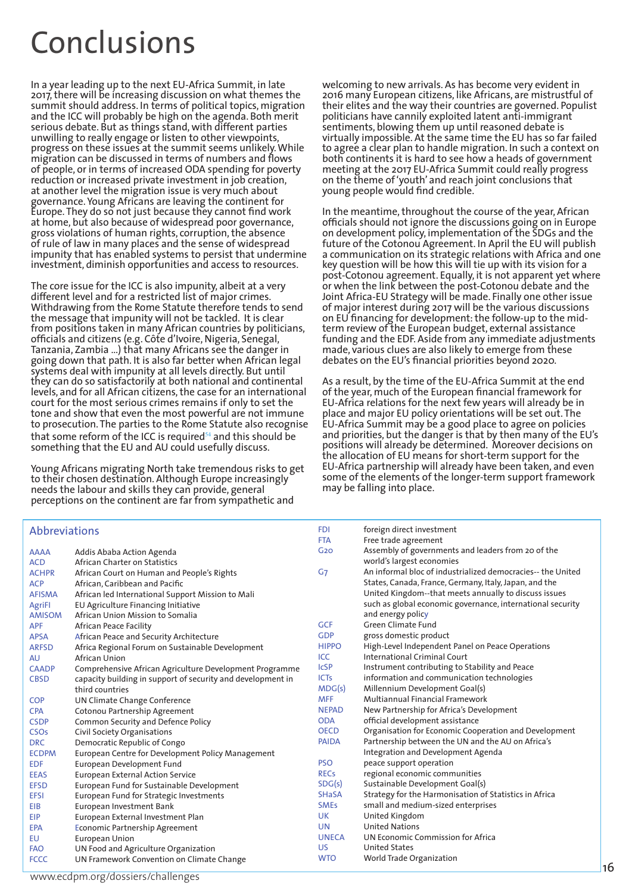### Conclusions

In a year leading up to the next EU-Africa Summit, in late 2017, there will be increasing discussion on what themes the summit should address. In terms of political topics, migration and the ICC will probably be high on the agenda. Both merit serious debate. But as things stand, with different parties unwilling to really engage or listen to other viewpoints, progress on these issues at the summit seems unlikely. While migration can be discussed in terms of numbers and flows of people, or in terms of increased ODA spending for poverty reduction or increased private investment in job creation, at another level the migration issue is very much about governance. Young Africans are leaving the continent for Europe. They do so not just because they cannot find work at home, but also because of widespread poor governance, gross violations of human rights, corruption, the absence of rule of law in many places and the sense of widespread impunity that has enabled systems to persist that undermine investment, diminish opportunities and access to resources.

The core issue for the ICC is also impunity, albeit at a very different level and for a restricted list of major crimes. Withdrawing from the Rome Statute therefore tends to send the message that impunity will not be tackled. It is clear from positions taken in many African countries by politicians, officials and citizens (e.g. Côte d'Ivoire, Nigeria, Senegal, Tanzania, Zambia …) that many Africans see the danger in going down that path. It is also far better when African legal systems deal with impunity at all levels directly. But until they can do so satisfactorily at both national and continental levels, and for all African citizens, the case for an international court for the most serious crimes remains if only to set the tone and show that even the most powerful are not immune to prosecution. The parties to the Rome Statute also recognise that some reform of the ICC is required $54$  and this should be something that the EU and AU could usefully discuss.

Young Africans migrating North take tremendous risks to get to their chosen destination. Although Europe increasingly needs the labour and skills they can provide, general perceptions on the continent are far from sympathetic and

#### **Abbreviations**

welcoming to new arrivals. As has become very evident in 2016 many European citizens, like Africans, are mistrustful of their elites and the way their countries are governed. Populist politicians have cannily exploited latent anti-immigrant sentiments, blowing them up until reasoned debate is virtually impossible. At the same time the EU has so far failed to agree a clear plan to handle migration. In such a context on both continents it is hard to see how a heads of government meeting at the 2017 EU-Africa Summit could really progress on the theme of 'youth' and reach joint conclusions that young people would find credible.

In the meantime, throughout the course of the year, African officials should not ignore the discussions going on in Europe on development policy, implementation of the SDGs and the future of the Cotonou Agreement. In April the EU will publish a communication on its strategic relations with Africa and one key question will be how this will tie up with its vision for a post-Cotonou agreement. Equally, it is not apparent yet where or when the link between the post-Cotonou debate and the Joint Africa-EU Strategy will be made. Finally one other issue of major interest during 2017 will be the various discussions on EU financing for development: the follow-up to the midterm review of the European budget, external assistance funding and the EDF. Aside from any immediate adjustments made, various clues are also likely to emerge from these debates on the EU's financial priorities beyond 2020.

As a result, by the time of the EU-Africa Summit at the end of the year, much of the European financial framework for EU-Africa relations for the next few years will already be in place and major EU policy orientations will be set out. The EU-Africa Summit may be a good place to agree on policies and priorities, but the danger is that by then many of the EU's positions will already be determined. Moreover decisions on the allocation of EU means for short-term support for the EU-Africa partnership will already have been taken, and even some of the elements of the longer-term support framework may be falling into place.

FDI foreign direct investment

|                        |                                                             | <b>FTA</b>      |                                                             |
|------------------------|-------------------------------------------------------------|-----------------|-------------------------------------------------------------|
|                        |                                                             | G <sub>20</sub> | Free trade agreement                                        |
| <b>AAAA</b>            | Addis Ababa Action Agenda                                   |                 | Assembly of governments and leaders from 20 of the          |
| <b>ACD</b>             | African Charter on Statistics                               |                 | world's largest economies                                   |
| <b>ACHPR</b>           | African Court on Human and People's Rights                  | G <sub>7</sub>  | An informal bloc of industrialized democracies-- the United |
| <b>ACP</b>             | African, Caribbean and Pacific                              |                 | States, Canada, France, Germany, Italy, Japan, and the      |
| <b>AFISMA</b>          | African led International Support Mission to Mali           |                 | United Kingdom--that meets annually to discuss issues       |
| AgriFI                 | EU Agriculture Financing Initiative                         |                 | such as global economic governance, international security  |
| <b>AMISOM</b>          | African Union Mission to Somalia                            |                 | and energy policy                                           |
| <b>APF</b>             | African Peace Facility                                      | <b>GCF</b>      | <b>Green Climate Fund</b>                                   |
| <b>APSA</b>            | African Peace and Security Architecture                     | <b>GDP</b>      | gross domestic product                                      |
| <b>ARFSD</b>           | Africa Regional Forum on Sustainable Development            | <b>HIPPO</b>    | High-Level Independent Panel on Peace Operations            |
| AU                     | African Union                                               | ICC             | International Criminal Court                                |
| <b>CAADP</b>           | Comprehensive African Agriculture Development Programme     | <b>IcSP</b>     | Instrument contributing to Stability and Peace              |
| <b>CBSD</b>            | capacity building in support of security and development in | <b>ICTs</b>     | information and communication technologies                  |
|                        | third countries                                             | MDG(s)          | Millennium Development Goal(s)                              |
| <b>COP</b>             | UN Climate Change Conference                                | <b>MFF</b>      | <b>Multiannual Financial Framework</b>                      |
| <b>CPA</b>             | Cotonou Partnership Agreement                               | <b>NEPAD</b>    | New Partnership for Africa's Development                    |
| <b>CSDP</b>            | <b>Common Security and Defence Policy</b>                   | <b>ODA</b>      | official development assistance                             |
| <b>CSO<sub>s</sub></b> | Civil Society Organisations                                 | <b>OECD</b>     | Organisation for Economic Cooperation and Development       |
| <b>DRC</b>             | Democratic Republic of Congo                                | <b>PAIDA</b>    | Partnership between the UN and the AU on Africa's           |
| <b>ECDPM</b>           | European Centre for Development Policy Management           |                 | Integration and Development Agenda                          |
| <b>EDF</b>             | European Development Fund                                   | <b>PSO</b>      | peace support operation                                     |
| <b>EEAS</b>            | <b>European External Action Service</b>                     | <b>RECs</b>     | regional economic communities                               |
| <b>EFSD</b>            | European Fund for Sustainable Development                   | SDG(s)          | Sustainable Development Goal(s)                             |
| <b>EFSI</b>            | European Fund for Strategic Investments                     | <b>SHaSA</b>    | Strategy for the Harmonisation of Statistics in Africa      |
| EIB                    | European Investment Bank                                    | <b>SMEs</b>     | small and medium-sized enterprises                          |
| EIP                    | European External Investment Plan                           | <b>UK</b>       | United Kingdom                                              |
| <b>EPA</b>             | <b>Economic Partnership Agreement</b>                       | <b>UN</b>       | <b>United Nations</b>                                       |
| EU                     | <b>European Union</b>                                       | <b>UNECA</b>    | UN Economic Commission for Africa                           |
| <b>FAO</b>             | UN Food and Agriculture Organization                        | US.             | <b>United States</b>                                        |
| <b>FCCC</b>            | UN Framework Convention on Climate Change                   | <b>WTO</b>      | World Trade Organization                                    |

www.ecdpm.org/dossiers/challenges 4216.html and 216.html and 2216.html and 2216.html and 2216.html and 2216.html and 2216.html and 2216.html and 2216.html and 2216.html and 2216.html and 2216.html and 2216.html and 2216.ht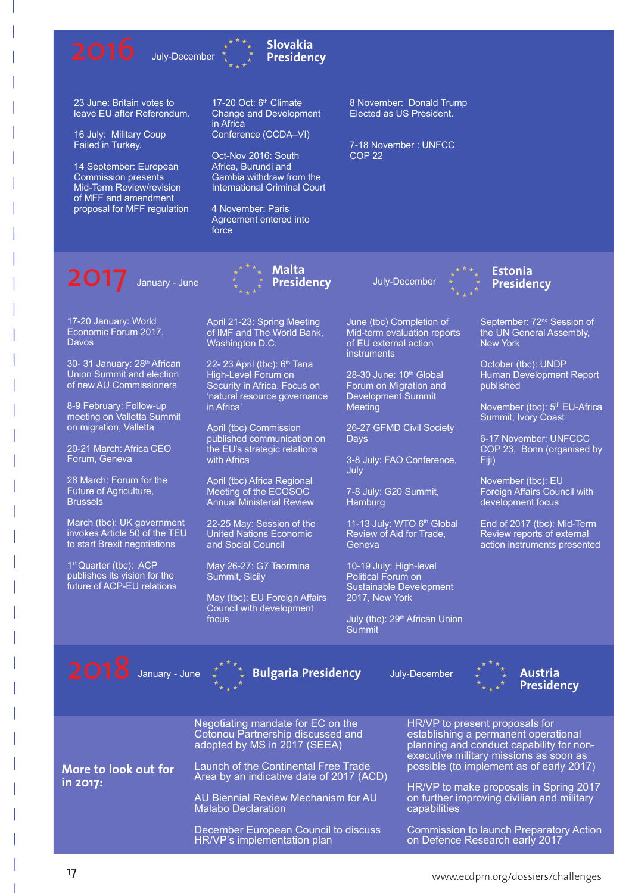





23 June: Britain votes to leave EU after Referendum.

16 July: Military Coup Failed in Turkey.

14 September: European Commission presents Mid-Term Review/revision of MFF and amendment proposal for MFF regulation 17-20 Oct: 6<sup>th</sup> Climate Change and Development in Africa Conference (CCDA–VI)

Oct-Nov 2016: South Africa, Burundi and Gambia withdraw from the International Criminal Court

4 November: Paris Agreement entered into force

8 November: Donald Trump Elected as US President.

7-18 November : UNFCC COP 22

**2017** January - June  $\begin{array}{cc} * & * & * \rightarrow & \mathsf{Malta} \\ * & * & \mathsf{Presidenty} \end{array}$  July-December

**Estonia Presidency**

17-20 January: World Economic Forum 2017, Davos

30- 31 January: 28<sup>th</sup> African Union Summit and election of new AU Commissioners

8-9 February: Follow-up meeting on Valletta Summit on migration, Valletta

20-21 March: Africa CEO Forum, Geneva

28 March: Forum for the Future of Agriculture, Brussels

March (tbc): UK government invokes Article 50 of the TEU to start Brexit negotiations

1<sup>st</sup> Quarter (tbc): ACP publishes its vision for the future of ACP-EU relations April 21-23: Spring Meeting of IMF and The World Bank, Washington D.C.

**Malta Presidency**

22- 23 April (tbc): 6<sup>th</sup> Tana High-Level Forum on Security in Africa. Focus on 'natural resource governance in Africa'

April (tbc) Commission published communication on the EU's strategic relations with Africa

April (tbc) Africa Regional Meeting of the ECOSOC Annual Ministerial Review

22-25 May: Session of the United Nations Economic and Social Council

May 26-27: G7 Taormina Summit, Sicily

May (tbc): EU Foreign Affairs Council with development focus

June (tbc) Completion of Mid-term evaluation reports of EU external action **instruments** 

28-30 June: 10<sup>th</sup> Global Forum on Migration and Development Summit Meeting

26-27 GFMD Civil Society Days

3-8 July: FAO Conference, July

7-8 July: G20 Summit, **Hamburg** 

11-13 July: WTO 6<sup>th</sup> Global Review of Aid for Trade, Geneva

10-19 July: High-level Political Forum on Sustainable Development 2017, New York

July (tbc): 29<sup>th</sup> African Union **Summit** 



October (tbc): UNDP Human Development Report published

November (tbc): 5<sup>th</sup> EU-Africa Summit, Ivory Coast

6-17 November: UNFCCC COP 23, Bonn (organised by Fiji)

November (tbc): EU Foreign Affairs Council with development focus

End of 2017 (tbc): Mid-Term Review reports of external action instruments presented

2018 January - June

Bulgaria Presidency July-December  $\stackrel{*}{\ast}$   $\stackrel{*}{\ast}$  Austria



|                      | Negotiating mandate for EC on the<br>Cotonou Partnership discussed and<br>adopted by MS in 2017 (SEEA) | HR/VP to present proposals for<br>establishing a permanent operational<br>planning and conduct capability for non-<br>executive military missions as soon as |
|----------------------|--------------------------------------------------------------------------------------------------------|--------------------------------------------------------------------------------------------------------------------------------------------------------------|
| More to look out for | Launch of the Continental Free Trade<br>Area by an indicative date of 2017 (ACD)                       | possible (to implement as of early 2017)                                                                                                                     |
| in 2017:             | AU Biennial Review Mechanism for AU                                                                    | HR/VP to make proposals in Spring 2017<br>on further improving civilian and military                                                                         |
|                      | <b>Malabo Declaration</b>                                                                              | capabilities                                                                                                                                                 |
|                      | December European Council to discuss<br>HR/VP's implementation plan                                    | Commission to launch Preparatory Action<br>on Defence Research early 2017                                                                                    |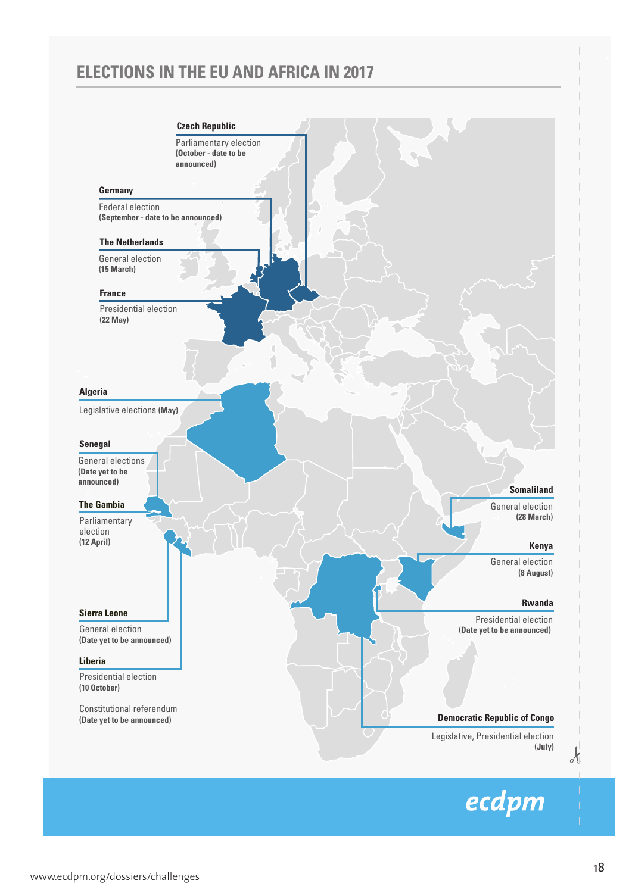### **ELECTIONS IN THE EU AND AFRICA IN 2017**



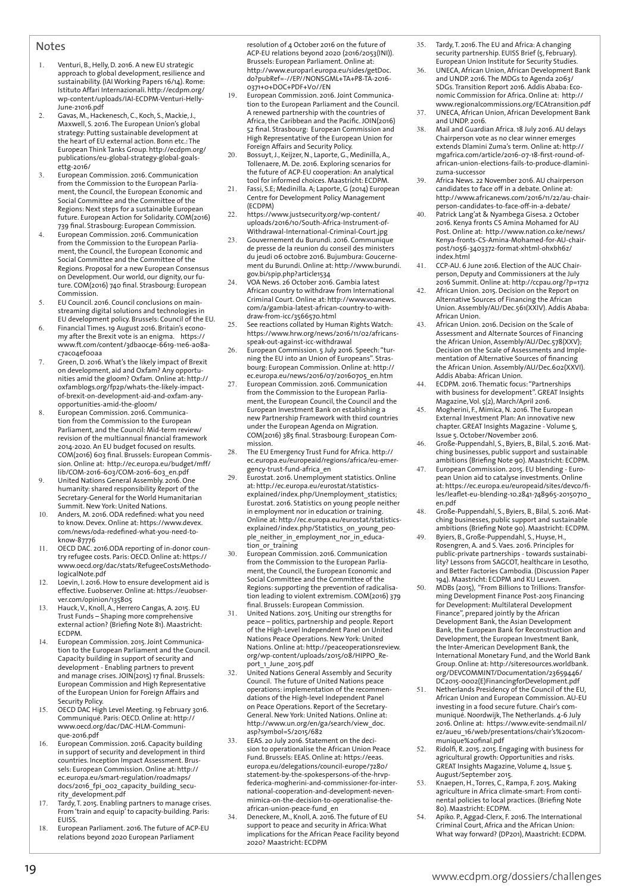#### **Notes**

- 1. Venturi, B., Helly, D. 2016. A new EU strategic approach to global development, resilience and sustainability. (IAI Working Papers 16/14). Rome: Istituto Affari Internazionali. http://ecdpm.org/ wp-content/uploads/IAI-ECDPM-Venturi-Helly-June-21016.pdf
- 2. Gavas, M., Hackenesch, C., Koch, S., Mackie, J., Maxwell, S. 2016. The European Union's global strategy: Putting sustainable development at the heart of EU external action. Bonn etc.: The European Think Tanks Group. http://ecdpm.org/ publications/eu-global-strategy-global-goalsettg-2016/
- 3. European Commission. 2016. Communication from the Commission to the European Parliament, the Council, the European Economic and Social Committee and the Committee of the Regions: Next steps for a sustainable European future. European Action for Solidarity. COM(2016) 739 final. Strasbourg: European Commission.
- 4. European Commission. 2016. Communication from the Commission to the European Parliament, the Council, the European Economic and Social Committee and the Committee of the Regions. Proposal for a new European Consensus on Development. Our world, our dignity, our future. COM(2016) 740 final. Strasbourg: European Commission.
- 5. EU Council. 2016. Council conclusions on mainstreaming digital solutions and technologies in EU development policy. Brussels: Council of the EU.
- 6. Financial Times. 19 August 2016. Britain's econo-my after the Brexit vote is an enigma. https:// www.ft.com/content/3dba0c4e-6619-11e6-a08ac7ac04ef00aa
- 7. Green, D. 2016. What's the likely impact of Brexit on development, aid and Oxfam? Any opportunities amid the gloom? Oxfam. Online at: http:// oxfamblogs.org/fp2p/whats-the-likely-impactof-brexit-on-development-aid-and-oxfam-anyopportunities-amid-the-gloom/
- 8. European Commission. 2016. Communication from the Commission to the European Parliament, and the Council: Mid-term review/ revision of the multiannual financial framework 2014-2020. An EU budget focused on results. COM(2016) 603 final. Brussels: European Commission. Online at: http://ec.europa.eu/budget/mff/ lib/COM-2016-603/COM-2016-603\_en.pdf
- 9. United Nations General Assembly. 2016. One humanity: shared responsibility Report of the Secretary-General for the World Humanitarian Summit. New York: United Nations.
- 10. Anders, M. 2016. ODA redefined: what you need to know. Devex. Online at: https://www.devex. com/news/oda-redefined-what-you-need-toknow-87776
- 11. OECD DAC. 2016.ODA reporting of in-donor country refugee costs. Paris: OECD. Online at: https:// www.oecd.org/dac/stats/RefugeeCostsMethodologicalNote.pdf
- 12. Loevin, I. 2016. How to ensure development aid is effective. Euobserver. Online at: https://euobserver.com/opinion/135805
- 13. Hauck, V., Knoll, A., Herrero Cangas, A. 2015. EU Trust Funds – Shaping more comprehensive external action? (Briefing Note 81). Maastricht: ECDPM.
- 14. European Commission. 2015. Joint Communication to the European Parliament and the Council. Capacity building in support of security and development - Enabling partners to prevent and manage crises. JOIN(2015) 17 final. Brussels: European Commission and High Representative of the European Union for Foreign Affairs and Security Policy.
- 15. OECD DAC High Level Meeting. 19 February 3016. Communiqué. Paris: OECD. Online at: http:// www.oecd.org/dac/DAC-HLM-Communique-2016.pdf
- 16. European Commission. 2016. Capacity building in support of security and development in third countries. Inception Impact Assessment. Brus-sels: European Commission. Online at: http:// ec.europa.eu/smart-regulation/roadmaps/ docs/2016 fpi 002 capacity building security\_development.pdf
- 17. Tardy, T. 2015. Enabling partners to manage crises. From 'train and equip' to capacity-building. Paris: EUISS.
- 18. European Parliament. 2016. The future of ACP-EU relations beyond 2020 European Parliament

resolution of 4 October 2016 on the future of ACP-EU relations beyond 2020 (2016/2053(INI)). Brussels: European Parliament. Online at: http://www.europarl.europa.eu/sides/getDoc. do?pubRef=-//EP//NONSGML+TA+P8-TA-2016- 0371+0+DOC+PDF+V0//EN

- 19. European Commission. 2016. Joint Communication to the European Parliament and the Council. A renewed partnership with the countries of Africa, the Caribbean and the Pacific. JOIN(2016) 52 final. Strasbourg: European Commission and High Representative of the European Union for Foreign Affairs and Security Policy. 20. Bossuyt, J., Keijzer, N., Laporte, G., Medinilla, A.,
- Tollenaere, M. De. 2016. Exploring scenarios for the future of ACP-EU cooperation: An analytical tool for informed choices. Maastricht: ECDPM.
- 21. Fassi, S.E; Medinilla. A; Laporte, G (2014) European Centre for Development Policy Management (ECDPM)
- 22. https://www.justsecurity.org/wp-content/ uploads/2016/10/South-Africa-Instrument-of-Withdrawal-International-Criminal-Court.jpg
- 23. Gouvernement du Burundi. 2016. Communique de presse de la reunion du conseil des ministers du jeudi 06 octobre 2016. Bujumbura: Goucernement du Burundi. Online at: http://www.burundi. gov.bi/spip.php?article1534 24. VOA News. 26 October 2016. Gambia latest
- African country to withdraw from International Criminal Court. Online at: http://www.voanews. com/a/gambia-latest-african-country-to-withdraw-from-icc/3566570.html
- 25. See reactions collated by Human Rights Watch: https://www.hrw.org/news/2016/11/02/africansspeak-out-against-icc-withdrawal
- 26. European Commission. 5 July 2016. Speech: "turning the EU into an Union of Europeans". Strasbourg: European Commission. Online at: http:// ec.europa.eu/news/2016/07/20160705\_en.htm
- European Commission. 2016. Communication from the Commission to the European Parliament, the European Council, the Council and the European Investment Bank on establishing a new Partnership Framework with third countries under the European Agenda on Migration. COM(2016) 385 final. Strasbourg: European Commission.
- 28. The EU Emergency Trust Fund for Africa. http:// ec.europa.eu/europeaid/regions/africa/eu-emergency-trust-fund-africa\_en
- 29. Eurostat. 2016. Unemployment statistics. Online at: http://ec.europa.eu/eurostat/statisticsexplained/index.php/Unemployment\_statistics; Eurostat. 2016. Statistics on young people neither in employment nor in education or training. Online at: http://ec.europa.eu/eurostat/statisticsexplained/index.php/Statistics\_on\_young\_people\_neither\_in\_employment\_nor\_in\_educa-
- tion\_or\_training 30. European Commission. 2016. Communication from the Commission to the European Parliament, the Council, the European Economic and Social Committee and the Committee of the Regions: supporting the prevention of radicalisation leading to violent extremism. COM(2016) 379 final. Brussels: European Commission.
- 31. United Nations. 2015. Uniting our strengths for peace – politics, partnership and people. Report of the High-Level Independent Panel on United Nations Peace Operations. New York: United Nations. Online at: http://peaceoperationsreview. org/wp-content/uploads/2015/08/HIPPO\_Report\_1\_June\_2015.pdf
- 32. United Nations General Assembly and Security Council. The future of United Nations peace operations: implementation of the recommendations of the High-level Independent Panel on Peace Operations. Report of the Secretary-General. New York: United Nations. Online at: http://www.un.org/en/ga/search/view\_doc. asp?symbol=S/2015/682
- EEAS. 20 July 2016. Statement on the decision to operationalise the African Union Peace Fund. Brussels: EEAS. Online at: https://eeas. europa.eu/delegations/council-europe/7280/ statement-by-the-spokespersons-of-the-hrvpfederica-mogherini-and-commissioner-for-international-cooperation-and-development-nevenmimica-on-the-decision-to-operationalise-theafrican-union-peace-fund\_en
- 34. Deneckere, M., Knoll, A. 2016. The future of EU support to peace and security in Africa: What implications for the African Peace Facility beyond 2020? Maastricht: ECDPM
- 35. Tardy, T. 2016. The EU and Africa: A changing security partnership. EUISS Brief (5, February). European Union Institute for Security Studies.
- 36. UNECA, African Union, African Development Bank and UNDP. 2016. The MDGs to Agenda 2063/ SDGs. Transition Report 2016. Addis Ababa: Economic Commission for Africa. Online at: http:// www.regionalcommissions.org/ECAtransition.pdf UNECA, African Union, African Development Bank and UNDP. 2016.
- 38. Mail and Guardian Africa. 18 July 2016. AU delays Chairperson vote as no clear winner emerges extends Dlamini Zuma's term. Online at: http:// mgafrica.com/article/2016-07-18-first-round-ofafrican-union-elections-fails-to-produce-dlaminizuma-successor
- 39. Africa News. 22 November 2016. AU chairperson candidates to face off in a debate. Online at: http://www.africanews.com/2016/11/22/au-chairperson-candidates-to-face-off-in-a-debate/
- 40. Patrick Lang'at & Nyambega Gisesa. 2 October 2016. Kenya fronts CS Amina Mohamed for AU Post. Online at: http://www.nation.co.ke/news/ Kenya-fronts-CS-Amina-Mohamed-for-AU-chairpost/1056-3403372-format-xhtml-ohxbh6z/ index.html
- 41. CCP-AU. 6 June 2016. Election of the AUC Chairperson, Deputy and Commissioners at the July 2016 Summit. Online at: http://ccpau.org/?p=1712
- African Union. 2015. Decision on the Report on Alternative Sources of Financing the African Union. Assembly/AU/Dec.561(XXIV). Addis Ababa: African Union.
- 43. African Union. 2016. Decision on the Scale of Assessment and Alternate Sources of Financing the African Union, Assembly/AU/Dec.578(XXV); Decision on the Scale of Assessments and Implementation of Alternative Sources of financing the African Union. Assembly/AU/Dec.602(XXVI). Addis Ababa: African Union.
- 44. ECDPM. 2016. Thematic focus: "Partnerships with business for development". GREAT Insights Magazine, Vol. 5(2), March/April 2016.
- 45. Mogherini, F., Mimica, N. 2016. The European External Investment Plan: An innovative new chapter. GREAT Insights Magazine - Volume 5, Enapten SKE, in morgins magazine
- 46. Große-Puppendahl, S., Byiers, B., Bilal, S. 2016. Matching businesses, public support and sustainable ambitions (Briefing Note 90). Maastricht: ECDPM.
- 47. European Commission. 2015. EU blending European Union aid to catalyse investments. Online at: https://ec.europa.eu/europeaid/sites/devco/files/leaflet-eu-blending-10.2841-748965-20150710\_ en.pdf
- 48. Große-Puppendahl, S., Byiers, B., Bilal, S. 2016. Matching businesses, public support and sustainable ambitions (Briefing Note 90). Maastricht: ECDPM.
- 49. Byiers, B., Große-Puppendahl, S., Huyse, H., Rosengren, A. and S. Vaes. 2016. Principles for public-private partnerships - towards sustainabi-lity? Lessons from SAGCOT, healthcare in Lesotho, and Better Factories Cambodia. (Discussion Paper
- 194). Maastricht: ECDPM and KU Leuven. 50. MDBs (2015), "From Billions to Trillions: Transforming Development Finance Post-2015 Financing for Development: Multilateral Development Finance", prepared jointly by the African Development Bank, the Asian Development Bank, the European Bank for Reconstruction and Development, the European Investment Bank, the Inter-American Development Bank, the International Monetary Fund, and the World Bank Group. Online at: http://siteresources.worldbank. org/DEVCOMMINT/Documentation/23659446/ DC2015-0002(E)FinancingforDevelopment.pdf
- 51. Netherlands Presidency of the Council of the EU, African Union and European Commission. AU-EU investing in a food secure future. Chair's communiqué. Noordwijk, The Netherlands. 4-6 July 2016. Online at: https://www.evite-sendmail.nl/ ez/aueu\_16/web/presentations/chair's%20communique%20final.pdf
- 52. Ridolfi, R. 2015. 2015. Engaging with business for agricultural growth: Opportunities and risks. GREAT Insights Magazine, Volume 4, Issue 5. August/September 2015.
- 53. Knaepen, H., Torres, C., Rampa, F. 2015. Making agriculture in Africa climate-smart: From continental policies to local practices. (Briefing Note 80). Maastricht: ECDPM.
- 54. Apiko. P., Aggad-Clerx, F. 2016. The International Criminal Court, Africa and the African Union: What way forward? (DP201), Maastricht: ECDPM.